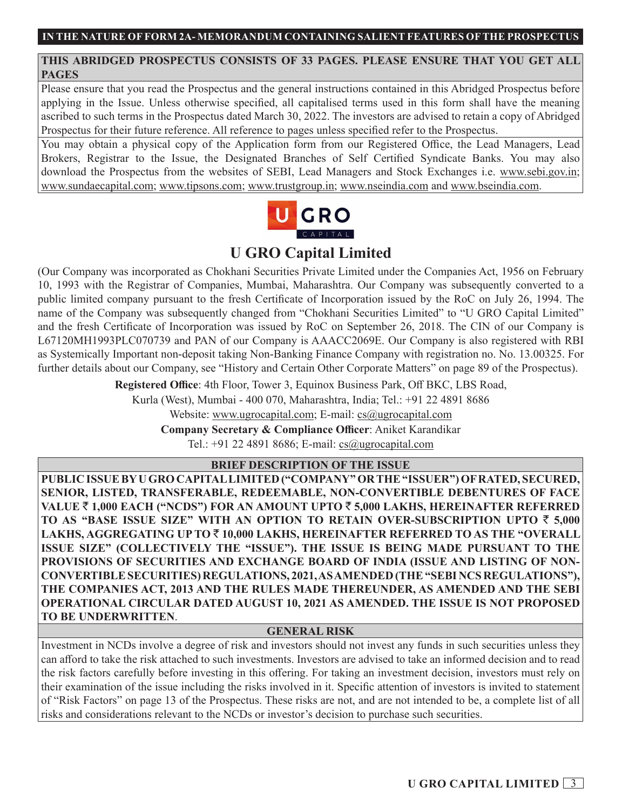## **THIS ABRIDGED PROSPECTUS CONSISTS OF 33 PAGES. PLEASE ENSURE THAT YOU GET ALL PAGES**

Please ensure that you read the Prospectus and the general instructions contained in this Abridged Prospectus before applying in the Issue. Unless otherwise specified, all capitalised terms used in this form shall have the meaning ascribed to such terms in the Prospectus dated March 30, 2022. The investors are advised to retain a copy of Abridged Prospectus for their future reference. All reference to pages unless specified refer to the Prospectus.

You may obtain a physical copy of the Application form from our Registered Office, the Lead Managers, Lead Brokers, Registrar to the Issue, the Designated Branches of Self Certified Syndicate Banks. You may also download the Prospectus from the websites of SEBI, Lead Managers and Stock Exchanges i.e. www.sebi.gov.in; www.sundaecapital.com; www.tipsons.com; www.trustgroup.in; www.nseindia.com and www.bseindia.com.



# **U GRO Capital Limited**

(Our Company was incorporated as Chokhani Securities Private Limited under the Companies Act, 1956 on February 10, 1993 with the Registrar of Companies, Mumbai, Maharashtra. Our Company was subsequently converted to a public limited company pursuant to the fresh Certificate of Incorporation issued by the RoC on July 26, 1994. The name of the Company was subsequently changed from "Chokhani Securities Limited" to "U GRO Capital Limited" and the fresh Certificate of Incorporation was issued by RoC on September 26, 2018. The CIN of our Company is L67120MH1993PLC070739 and PAN of our Company is AAACC2069E. Our Company is also registered with RBI as Systemically Important non-deposit taking Non-Banking Finance Company with registration no. No. 13.00325. For further details about our Company, see "History and Certain Other Corporate Matters" on page 89 of the Prospectus).

> **Registered Office**: 4th Floor, Tower 3, Equinox Business Park, Off BKC, LBS Road, Kurla (West), Mumbai - 400 070, Maharashtra, India; Tel.: +91 22 4891 8686 Website: www.ugrocapital.com; E-mail: cs@ugrocapital.com

**Company Secretary & Compliance Officer**: Aniket Karandikar

Tel.: +91 22 4891 8686; E-mail: cs@ugrocapital.com

**BRIEF DESCRIPTION OF THE ISSUE**

**PUBLIC ISSUE BY U GRO CAPITAL LIMITED ("COMPANY" OR THE "ISSUER") OF RATED, SECURED, SENIOR, LISTED, TRANSFERABLE, REDEEMABLE, NON-CONVERTIBLE DEBENTURES OF FACE VALUE** ` **1,000 EACH ("NCDS") FOR AN AMOUNT UPTO** ` **5,000 LAKHS, HEREINAFTER REFERRED TO AS "BASE ISSUE SIZE" WITH AN OPTION TO RETAIN OVER-SUBSCRIPTION UPTO** ` **5,000 LAKHS, AGGREGATING UP TO** ` **10,000 LAKHS, HEREINAFTER REFERRED TO AS THE "OVERALL ISSUE SIZE" (COLLECTIVELY THE "ISSUE"). THE ISSUE IS BEING MADE PURSUANT TO THE PROVISIONS OF SECURITIES AND EXCHANGE BOARD OF INDIA (ISSUE AND LISTING OF NON-CONVERTIBLE SECURITIES) REGULATIONS, 2021, AS AMENDED (THE "SEBI NCS REGULATIONS"), THE COMPANIES ACT, 2013 AND THE RULES MADE THEREUNDER, AS AMENDED AND THE SEBI OPERATIONAL CIRCULAR DATED AUGUST 10, 2021 AS AMENDED. THE ISSUE IS NOT PROPOSED TO BE UNDERWRITTEN**.

## **GENERAL RISK**

Investment in NCDs involve a degree of risk and investors should not invest any funds in such securities unless they can afford to take the risk attached to such investments. Investors are advised to take an informed decision and to read the risk factors carefully before investing in this offering. For taking an investment decision, investors must rely on their examination of the issue including the risks involved in it. Specific attention of investors is invited to statement of "Risk Factors" on page 13 of the Prospectus. These risks are not, and are not intended to be, a complete list of all risks and considerations relevant to the NCDs or investor's decision to purchase such securities.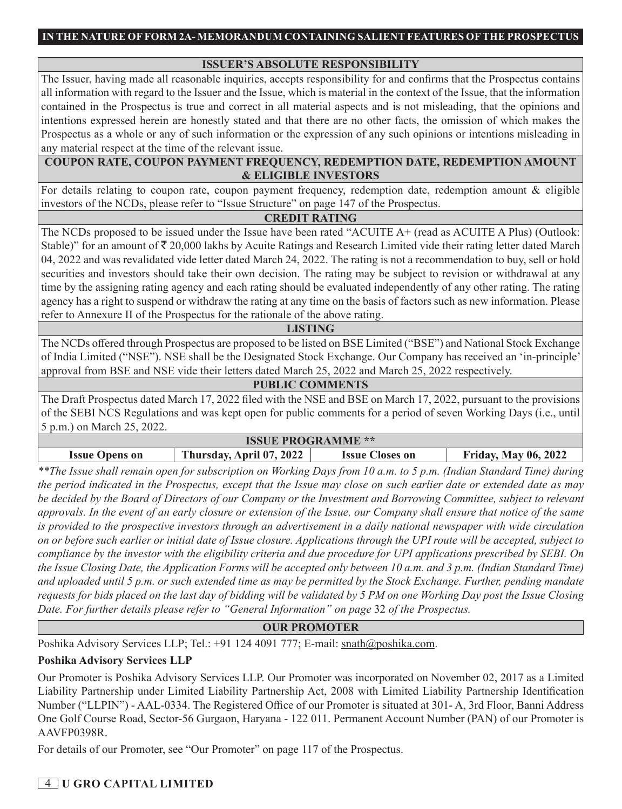## **ISSUER'S ABSOLUTE RESPONSIBILITY**

The Issuer, having made all reasonable inquiries, accepts responsibility for and confirms that the Prospectus contains all information with regard to the Issuer and the Issue, which is material in the context of the Issue, that the information contained in the Prospectus is true and correct in all material aspects and is not misleading, that the opinions and intentions expressed herein are honestly stated and that there are no other facts, the omission of which makes the Prospectus as a whole or any of such information or the expression of any such opinions or intentions misleading in any material respect at the time of the relevant issue.

## **COUPON RATE, COUPON PAYMENT FREQUENCY, REDEMPTION DATE, REDEMPTION AMOUNT & ELIGIBLE INVESTORS**

For details relating to coupon rate, coupon payment frequency, redemption date, redemption amount & eligible investors of the NCDs, please refer to "Issue Structure" on page 147 of the Prospectus.

## **CREDIT RATING**

The NCDs proposed to be issued under the Issue have been rated "ACUITE A+ (read as ACUITE A Plus) (Outlook: Stable)" for an amount of  $\bar{\tau}$  20,000 lakhs by Acuite Ratings and Research Limited vide their rating letter dated March 04, 2022 and was revalidated vide letter dated March 24, 2022. The rating is not a recommendation to buy, sell or hold securities and investors should take their own decision. The rating may be subject to revision or withdrawal at any time by the assigning rating agency and each rating should be evaluated independently of any other rating. The rating agency has a right to suspend or withdraw the rating at any time on the basis of factors such as new information. Please refer to Annexure II of the Prospectus for the rationale of the above rating.

### **LISTING**

The NCDs offered through Prospectus are proposed to be listed on BSE Limited ("BSE") and National Stock Exchange of India Limited ("NSE"). NSE shall be the Designated Stock Exchange. Our Company has received an 'in-principle' approval from BSE and NSE vide their letters dated March 25, 2022 and March 25, 2022 respectively.

## **PUBLIC COMMENTS**

The Draft Prospectus dated March 17, 2022 filed with the NSE and BSE on March 17, 2022, pursuant to the provisions of the SEBI NCS Regulations and was kept open for public comments for a period of seven Working Days (i.e., until 5 p.m.) on March 25, 2022.

| <b>ISSUE PROGRAMME **</b>                                                                                         |  |  |  |  |
|-------------------------------------------------------------------------------------------------------------------|--|--|--|--|
| <b>Thursday, April 07, 2022</b><br><b>Friday, May 06, 2022</b><br><b>Issue Opens on</b><br><b>Issue Closes on</b> |  |  |  |  |

*\*\*The Issue shall remain open for subscription on Working Days from 10 a.m. to 5 p.m. (Indian Standard Time) during the period indicated in the Prospectus, except that the Issue may close on such earlier date or extended date as may be decided by the Board of Directors of our Company or the Investment and Borrowing Committee, subject to relevant approvals. In the event of an early closure or extension of the Issue, our Company shall ensure that notice of the same is provided to the prospective investors through an advertisement in a daily national newspaper with wide circulation on or before such earlier or initial date of Issue closure. Applications through the UPI route will be accepted, subject to compliance by the investor with the eligibility criteria and due procedure for UPI applications prescribed by SEBI. On the Issue Closing Date, the Application Forms will be accepted only between 10 a.m. and 3 p.m. (Indian Standard Time) and uploaded until 5 p.m. or such extended time as may be permitted by the Stock Exchange. Further, pending mandate requests for bids placed on the last day of bidding will be validated by 5 PM on one Working Day post the Issue Closing Date. For further details please refer to "General Information" on page* 32 *of the Prospectus.*

## **OUR PROMOTER**

Poshika Advisory Services LLP; Tel.: +91 124 4091 777; E-mail: snath@poshika.com.

## **Poshika Advisory Services LLP**

Our Promoter is Poshika Advisory Services LLP. Our Promoter was incorporated on November 02, 2017 as a Limited Liability Partnership under Limited Liability Partnership Act, 2008 with Limited Liability Partnership Identification Number ("LLPIN") - AAL-0334. The Registered Office of our Promoter is situated at 301- A, 3rd Floor, Banni Address One Golf Course Road, Sector-56 Gurgaon, Haryana - 122 011. Permanent Account Number (PAN) of our Promoter is AAVFP0398R.

For details of our Promoter, see "Our Promoter" on page 117 of the Prospectus.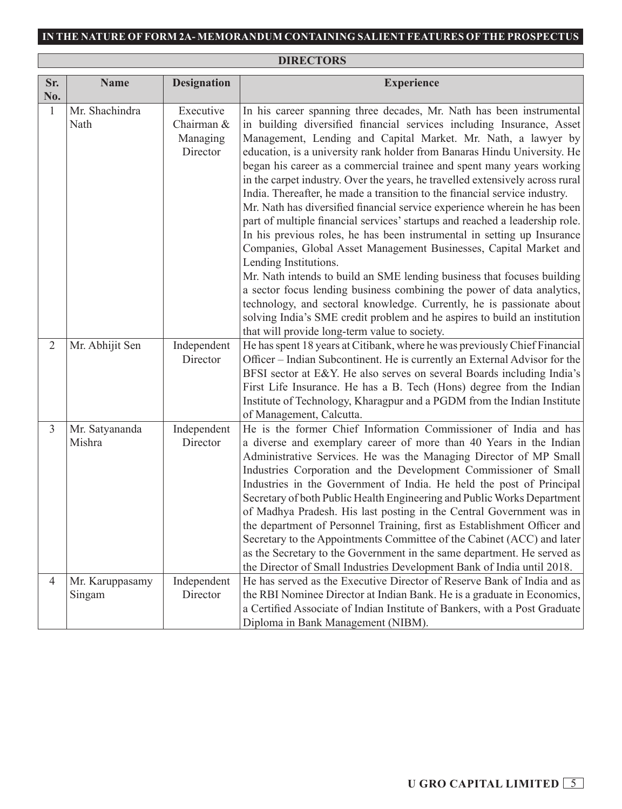# **DIRECTORS**

| Sr.            | <b>Name</b>               | <b>Designation</b>                              | <b>Experience</b>                                                                                                                                                                                                                                                                                                                                                                                                                                                                                                                                                                                                                                                                                                                                                                                                                                                                                                                                                                                                                                                                                                                                                                                                                    |
|----------------|---------------------------|-------------------------------------------------|--------------------------------------------------------------------------------------------------------------------------------------------------------------------------------------------------------------------------------------------------------------------------------------------------------------------------------------------------------------------------------------------------------------------------------------------------------------------------------------------------------------------------------------------------------------------------------------------------------------------------------------------------------------------------------------------------------------------------------------------------------------------------------------------------------------------------------------------------------------------------------------------------------------------------------------------------------------------------------------------------------------------------------------------------------------------------------------------------------------------------------------------------------------------------------------------------------------------------------------|
| No.            |                           |                                                 |                                                                                                                                                                                                                                                                                                                                                                                                                                                                                                                                                                                                                                                                                                                                                                                                                                                                                                                                                                                                                                                                                                                                                                                                                                      |
| $\mathbf{1}$   | Mr. Shachindra<br>Nath    | Executive<br>Chairman &<br>Managing<br>Director | In his career spanning three decades, Mr. Nath has been instrumental<br>in building diversified financial services including Insurance, Asset<br>Management, Lending and Capital Market. Mr. Nath, a lawyer by<br>education, is a university rank holder from Banaras Hindu University. He<br>began his career as a commercial trainee and spent many years working<br>in the carpet industry. Over the years, he travelled extensively across rural<br>India. Thereafter, he made a transition to the financial service industry.<br>Mr. Nath has diversified financial service experience wherein he has been<br>part of multiple financial services' startups and reached a leadership role.<br>In his previous roles, he has been instrumental in setting up Insurance<br>Companies, Global Asset Management Businesses, Capital Market and<br>Lending Institutions.<br>Mr. Nath intends to build an SME lending business that focuses building<br>a sector focus lending business combining the power of data analytics,<br>technology, and sectoral knowledge. Currently, he is passionate about<br>solving India's SME credit problem and he aspires to build an institution<br>that will provide long-term value to society. |
| $\overline{2}$ | Mr. Abhijit Sen           | Independent<br>Director                         | He has spent 18 years at Citibank, where he was previously Chief Financial<br>Officer – Indian Subcontinent. He is currently an External Advisor for the<br>BFSI sector at E&Y. He also serves on several Boards including India's<br>First Life Insurance. He has a B. Tech (Hons) degree from the Indian<br>Institute of Technology, Kharagpur and a PGDM from the Indian Institute<br>of Management, Calcutta.                                                                                                                                                                                                                                                                                                                                                                                                                                                                                                                                                                                                                                                                                                                                                                                                                    |
| 3              | Mr. Satyananda<br>Mishra  | Independent<br>Director                         | He is the former Chief Information Commissioner of India and has<br>a diverse and exemplary career of more than 40 Years in the Indian<br>Administrative Services. He was the Managing Director of MP Small<br>Industries Corporation and the Development Commissioner of Small<br>Industries in the Government of India. He held the post of Principal<br>Secretary of both Public Health Engineering and Public Works Department<br>of Madhya Pradesh. His last posting in the Central Government was in<br>the department of Personnel Training, first as Establishment Officer and<br>Secretary to the Appointments Committee of the Cabinet (ACC) and later<br>as the Secretary to the Government in the same department. He served as<br>the Director of Small Industries Development Bank of India until 2018.                                                                                                                                                                                                                                                                                                                                                                                                                |
| $\overline{4}$ | Mr. Karuppasamy<br>Singam | Independent<br>Director                         | He has served as the Executive Director of Reserve Bank of India and as<br>the RBI Nominee Director at Indian Bank. He is a graduate in Economics,<br>a Certified Associate of Indian Institute of Bankers, with a Post Graduate<br>Diploma in Bank Management (NIBM).                                                                                                                                                                                                                                                                                                                                                                                                                                                                                                                                                                                                                                                                                                                                                                                                                                                                                                                                                               |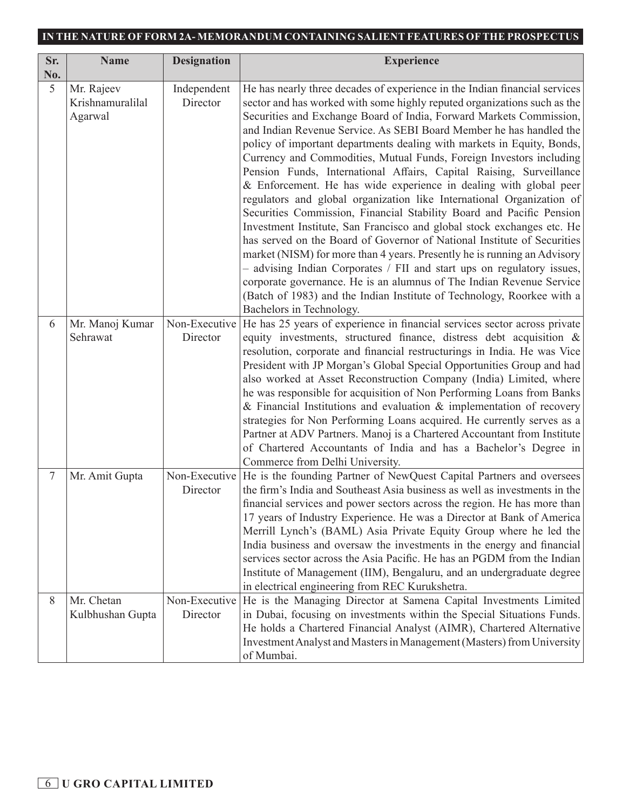| Sr.    | <b>Name</b>                               | <b>Designation</b>        | <b>Experience</b>                                                                                                                                                                                                                                                                                                                                                                                                                                                                                                                                                                                                                                                                                                                                                                                                                                                                                                                                                                                                                                                                                                                                                                                                                           |
|--------|-------------------------------------------|---------------------------|---------------------------------------------------------------------------------------------------------------------------------------------------------------------------------------------------------------------------------------------------------------------------------------------------------------------------------------------------------------------------------------------------------------------------------------------------------------------------------------------------------------------------------------------------------------------------------------------------------------------------------------------------------------------------------------------------------------------------------------------------------------------------------------------------------------------------------------------------------------------------------------------------------------------------------------------------------------------------------------------------------------------------------------------------------------------------------------------------------------------------------------------------------------------------------------------------------------------------------------------|
| No.    |                                           |                           |                                                                                                                                                                                                                                                                                                                                                                                                                                                                                                                                                                                                                                                                                                                                                                                                                                                                                                                                                                                                                                                                                                                                                                                                                                             |
| 5      | Mr. Rajeev<br>Krishnamuralilal<br>Agarwal | Independent<br>Director   | He has nearly three decades of experience in the Indian financial services<br>sector and has worked with some highly reputed organizations such as the<br>Securities and Exchange Board of India, Forward Markets Commission,<br>and Indian Revenue Service. As SEBI Board Member he has handled the<br>policy of important departments dealing with markets in Equity, Bonds,<br>Currency and Commodities, Mutual Funds, Foreign Investors including<br>Pension Funds, International Affairs, Capital Raising, Surveillance<br>& Enforcement. He has wide experience in dealing with global peer<br>regulators and global organization like International Organization of<br>Securities Commission, Financial Stability Board and Pacific Pension<br>Investment Institute, San Francisco and global stock exchanges etc. He<br>has served on the Board of Governor of National Institute of Securities<br>market (NISM) for more than 4 years. Presently he is running an Advisory<br>- advising Indian Corporates / FII and start ups on regulatory issues,<br>corporate governance. He is an alumnus of The Indian Revenue Service<br>(Batch of 1983) and the Indian Institute of Technology, Roorkee with a<br>Bachelors in Technology. |
| 6      | Mr. Manoj Kumar<br>Sehrawat               | Non-Executive<br>Director | He has 25 years of experience in financial services sector across private<br>equity investments, structured finance, distress debt acquisition &<br>resolution, corporate and financial restructurings in India. He was Vice<br>President with JP Morgan's Global Special Opportunities Group and had<br>also worked at Asset Reconstruction Company (India) Limited, where<br>he was responsible for acquisition of Non Performing Loans from Banks<br>& Financial Institutions and evaluation $\&$ implementation of recovery<br>strategies for Non Performing Loans acquired. He currently serves as a<br>Partner at ADV Partners. Manoj is a Chartered Accountant from Institute<br>of Chartered Accountants of India and has a Bachelor's Degree in<br>Commerce from Delhi University.                                                                                                                                                                                                                                                                                                                                                                                                                                                 |
| $\tau$ | Mr. Amit Gupta                            | Non-Executive<br>Director | He is the founding Partner of NewQuest Capital Partners and oversees<br>the firm's India and Southeast Asia business as well as investments in the<br>financial services and power sectors across the region. He has more than<br>17 years of Industry Experience. He was a Director at Bank of America<br>Merrill Lynch's (BAML) Asia Private Equity Group where he led the<br>India business and oversaw the investments in the energy and financial<br>services sector across the Asia Pacific. He has an PGDM from the Indian<br>Institute of Management (IIM), Bengaluru, and an undergraduate degree<br>in electrical engineering from REC Kurukshetra.                                                                                                                                                                                                                                                                                                                                                                                                                                                                                                                                                                               |
| 8      | Mr. Chetan<br>Kulbhushan Gupta            | Non-Executive<br>Director | He is the Managing Director at Samena Capital Investments Limited<br>in Dubai, focusing on investments within the Special Situations Funds.<br>He holds a Chartered Financial Analyst (AIMR), Chartered Alternative<br>Investment Analyst and Masters in Management (Masters) from University<br>of Mumbai.                                                                                                                                                                                                                                                                                                                                                                                                                                                                                                                                                                                                                                                                                                                                                                                                                                                                                                                                 |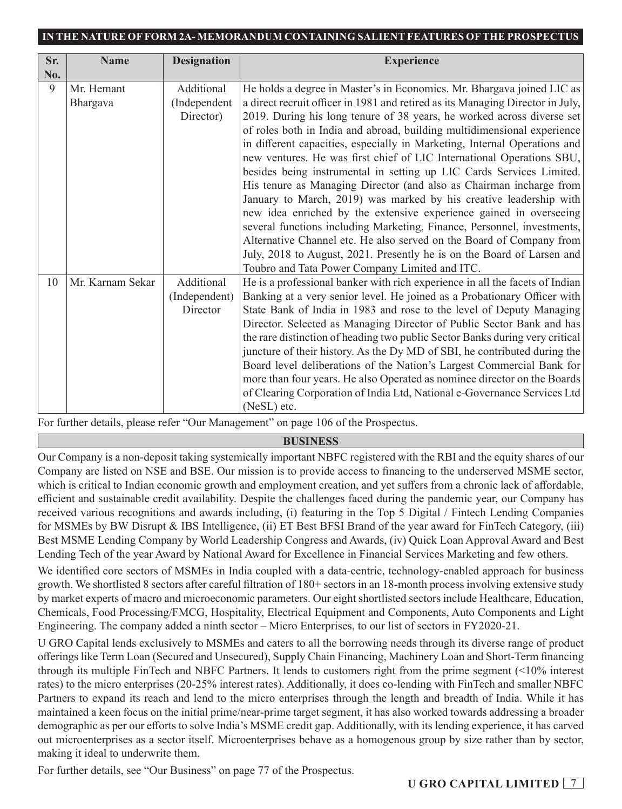| Sr. | <b>Name</b>      | <b>Designation</b> | <b>Experience</b>                                                              |
|-----|------------------|--------------------|--------------------------------------------------------------------------------|
| No. |                  |                    |                                                                                |
| 9   | Mr. Hemant       | Additional         | He holds a degree in Master's in Economics. Mr. Bhargava joined LIC as         |
|     | Bhargava         | (Independent       | a direct recruit officer in 1981 and retired as its Managing Director in July, |
|     |                  | Director)          | 2019. During his long tenure of 38 years, he worked across diverse set         |
|     |                  |                    | of roles both in India and abroad, building multidimensional experience        |
|     |                  |                    | in different capacities, especially in Marketing, Internal Operations and      |
|     |                  |                    | new ventures. He was first chief of LIC International Operations SBU,          |
|     |                  |                    | besides being instrumental in setting up LIC Cards Services Limited.           |
|     |                  |                    | His tenure as Managing Director (and also as Chairman incharge from            |
|     |                  |                    | January to March, 2019) was marked by his creative leadership with             |
|     |                  |                    | new idea enriched by the extensive experience gained in overseeing             |
|     |                  |                    | several functions including Marketing, Finance, Personnel, investments,        |
|     |                  |                    | Alternative Channel etc. He also served on the Board of Company from           |
|     |                  |                    | July, 2018 to August, 2021. Presently he is on the Board of Larsen and         |
|     |                  |                    | Toubro and Tata Power Company Limited and ITC.                                 |
| 10  | Mr. Karnam Sekar | Additional         | He is a professional banker with rich experience in all the facets of Indian   |
|     |                  | (Independent)      | Banking at a very senior level. He joined as a Probationary Officer with       |
|     |                  | Director           | State Bank of India in 1983 and rose to the level of Deputy Managing           |
|     |                  |                    | Director. Selected as Managing Director of Public Sector Bank and has          |
|     |                  |                    | the rare distinction of heading two public Sector Banks during very critical   |
|     |                  |                    | juncture of their history. As the Dy MD of SBI, he contributed during the      |
|     |                  |                    | Board level deliberations of the Nation's Largest Commercial Bank for          |
|     |                  |                    | more than four years. He also Operated as nominee director on the Boards       |
|     |                  |                    | of Clearing Corporation of India Ltd, National e-Governance Services Ltd       |
|     |                  |                    | (NeSL) etc.                                                                    |

For further details, please refer "Our Management" on page 106 of the Prospectus.

## **BUSINESS**

Our Company is a non-deposit taking systemically important NBFC registered with the RBI and the equity shares of our Company are listed on NSE and BSE. Our mission is to provide access to financing to the underserved MSME sector, which is critical to Indian economic growth and employment creation, and yet suffers from a chronic lack of affordable, efficient and sustainable credit availability. Despite the challenges faced during the pandemic year, our Company has received various recognitions and awards including, (i) featuring in the Top 5 Digital / Fintech Lending Companies for MSMEs by BW Disrupt & IBS Intelligence, (ii) ET Best BFSI Brand of the year award for FinTech Category, (iii) Best MSME Lending Company by World Leadership Congress and Awards, (iv) Quick Loan Approval Award and Best Lending Tech of the year Award by National Award for Excellence in Financial Services Marketing and few others.

We identified core sectors of MSMEs in India coupled with a data-centric, technology-enabled approach for business growth. We shortlisted 8 sectors after careful filtration of 180+ sectors in an 18-month process involving extensive study by market experts of macro and microeconomic parameters. Our eight shortlisted sectors include Healthcare, Education, Chemicals, Food Processing/FMCG, Hospitality, Electrical Equipment and Components, Auto Components and Light Engineering. The company added a ninth sector – Micro Enterprises, to our list of sectors in FY2020-21.

U GRO Capital lends exclusively to MSMEs and caters to all the borrowing needs through its diverse range of product offerings like Term Loan (Secured and Unsecured), Supply Chain Financing, Machinery Loan and Short-Term financing through its multiple FinTech and NBFC Partners. It lends to customers right from the prime segment (<10% interest rates) to the micro enterprises (20-25% interest rates). Additionally, it does co-lending with FinTech and smaller NBFC Partners to expand its reach and lend to the micro enterprises through the length and breadth of India. While it has maintained a keen focus on the initial prime/near-prime target segment, it has also worked towards addressing a broader demographic as per our efforts to solve India's MSME credit gap. Additionally, with its lending experience, it has carved out microenterprises as a sector itself. Microenterprises behave as a homogenous group by size rather than by sector, making it ideal to underwrite them.

For further details, see "Our Business" on page 77 of the Prospectus.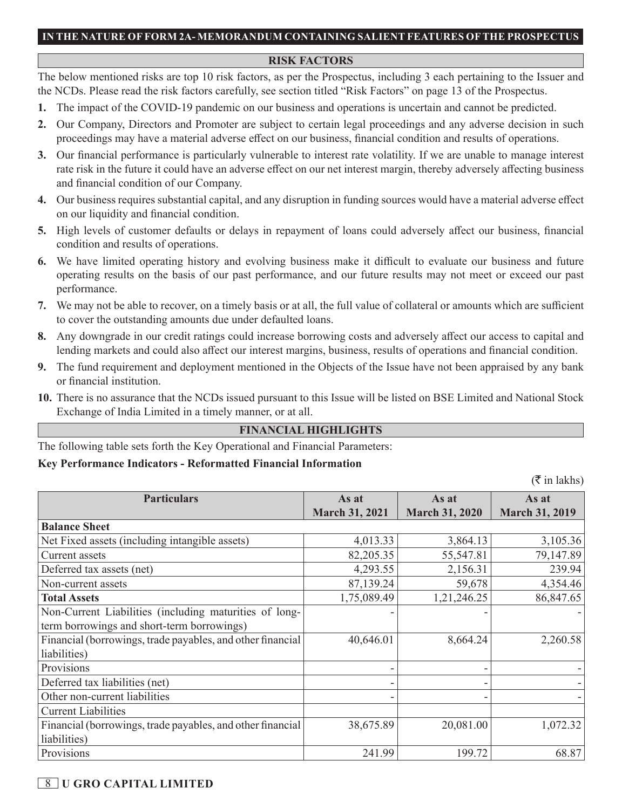#### **RISK FACTORS**

The below mentioned risks are top 10 risk factors, as per the Prospectus, including 3 each pertaining to the Issuer and the NCDs. Please read the risk factors carefully, see section titled "Risk Factors" on page 13 of the Prospectus.

- **1.** The impact of the COVID-19 pandemic on our business and operations is uncertain and cannot be predicted.
- **2.** Our Company, Directors and Promoter are subject to certain legal proceedings and any adverse decision in such proceedings may have a material adverse effect on our business, financial condition and results of operations.
- **3.** Our financial performance is particularly vulnerable to interest rate volatility. If we are unable to manage interest rate risk in the future it could have an adverse effect on our net interest margin, thereby adversely affecting business and financial condition of our Company.
- **4.** Our business requires substantial capital, and any disruption in funding sources would have a material adverse effect on our liquidity and financial condition.
- **5.** High levels of customer defaults or delays in repayment of loans could adversely affect our business, financial condition and results of operations.
- **6.** We have limited operating history and evolving business make it difficult to evaluate our business and future operating results on the basis of our past performance, and our future results may not meet or exceed our past performance.
- **7.** We may not be able to recover, on a timely basis or at all, the full value of collateral or amounts which are sufficient to cover the outstanding amounts due under defaulted loans.
- **8.** Any downgrade in our credit ratings could increase borrowing costs and adversely affect our access to capital and lending markets and could also affect our interest margins, business, results of operations and financial condition.
- **9.** The fund requirement and deployment mentioned in the Objects of the Issue have not been appraised by any bank or financial institution.
- **10.** There is no assurance that the NCDs issued pursuant to this Issue will be listed on BSE Limited and National Stock Exchange of India Limited in a timely manner, or at all.

### **FINANCIAL HIGHLIGHTS**

The following table sets forth the Key Operational and Financial Parameters:

### **Key Performance Indicators - Reformatted Financial Information**

 $(\bar{\bar{\tau}})$  in lakhs)

| <b>Particulars</b>                                         | As at                 | As at                 | As at                 |
|------------------------------------------------------------|-----------------------|-----------------------|-----------------------|
|                                                            | <b>March 31, 2021</b> | <b>March 31, 2020</b> | <b>March 31, 2019</b> |
| <b>Balance Sheet</b>                                       |                       |                       |                       |
| Net Fixed assets (including intangible assets)             | 4,013.33              | 3,864.13              | 3,105.36              |
| Current assets                                             | 82,205.35             | 55,547.81             | 79,147.89             |
| Deferred tax assets (net)                                  | 4,293.55              | 2,156.31              | 239.94                |
| Non-current assets                                         | 87,139.24             | 59,678                | 4,354.46              |
| <b>Total Assets</b>                                        | 1,75,089.49           | 1,21,246.25           | 86,847.65             |
| Non-Current Liabilities (including maturities of long-     |                       |                       |                       |
| term borrowings and short-term borrowings)                 |                       |                       |                       |
| Financial (borrowings, trade payables, and other financial | 40,646.01             | 8,664.24              | 2,260.58              |
| liabilities)                                               |                       |                       |                       |
| Provisions                                                 |                       |                       |                       |
| Deferred tax liabilities (net)                             |                       |                       |                       |
| Other non-current liabilities                              |                       |                       |                       |
| <b>Current Liabilities</b>                                 |                       |                       |                       |
| Financial (borrowings, trade payables, and other financial | 38,675.89             | 20,081.00             | 1,072.32              |
| liabilities)                                               |                       |                       |                       |
| Provisions                                                 | 241.99                | 199.72                | 68.87                 |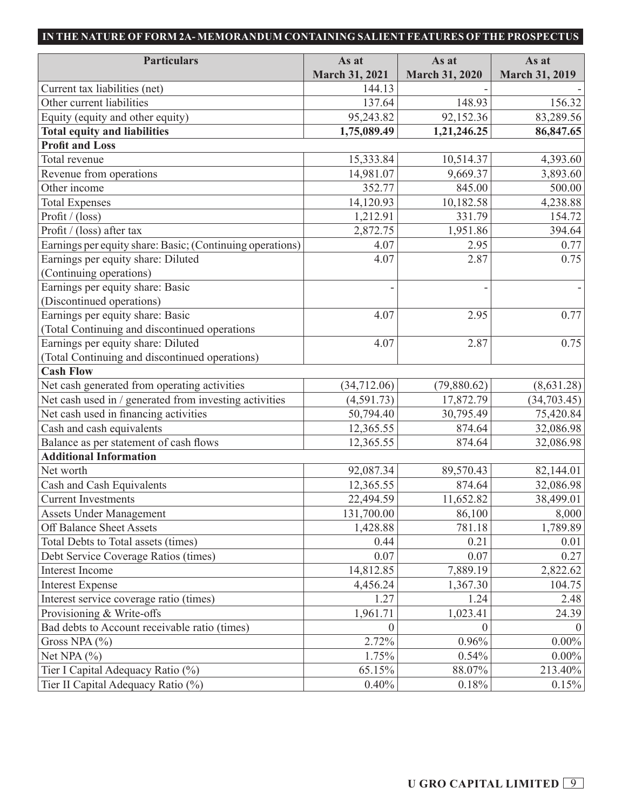| <b>Particulars</b>                                        | As at                 | As at                 | As at                 |
|-----------------------------------------------------------|-----------------------|-----------------------|-----------------------|
|                                                           | <b>March 31, 2021</b> | <b>March 31, 2020</b> | <b>March 31, 2019</b> |
| Current tax liabilities (net)                             | 144.13                |                       |                       |
| Other current liabilities                                 | 137.64                | 148.93                | 156.32                |
| Equity (equity and other equity)                          | 95,243.82             | 92,152.36             | 83,289.56             |
| <b>Total equity and liabilities</b>                       | 1,75,089.49           | 1,21,246.25           | 86,847.65             |
| <b>Profit and Loss</b>                                    |                       |                       |                       |
| Total revenue                                             | 15,333.84             | 10,514.37             | 4,393.60              |
| Revenue from operations                                   | 14,981.07             | 9,669.37              | 3,893.60              |
| Other income                                              | 352.77                | 845.00                | 500.00                |
| <b>Total Expenses</b>                                     | 14,120.93             | 10,182.58             | 4,238.88              |
| Profit / (loss)                                           | 1,212.91              | 331.79                | 154.72                |
| Profit / (loss) after tax                                 | 2,872.75              | 1,951.86              | 394.64                |
| Earnings per equity share: Basic; (Continuing operations) | 4.07                  | 2.95                  | 0.77                  |
| Earnings per equity share: Diluted                        | 4.07                  | 2.87                  | 0.75                  |
| (Continuing operations)                                   |                       |                       |                       |
| Earnings per equity share: Basic                          |                       |                       |                       |
| (Discontinued operations)                                 |                       |                       |                       |
| Earnings per equity share: Basic                          | 4.07                  | 2.95                  | 0.77                  |
| (Total Continuing and discontinued operations             |                       |                       |                       |
| Earnings per equity share: Diluted                        | 4.07                  | 2.87                  | 0.75                  |
| (Total Continuing and discontinued operations)            |                       |                       |                       |
| <b>Cash Flow</b>                                          |                       |                       |                       |
| Net cash generated from operating activities              | (34, 712.06)          | (79,880.62)           | (8,631.28)            |
| Net cash used in / generated from investing activities    | (4,591.73)            | 17,872.79             | (34,703.45)           |
| Net cash used in financing activities                     | 50,794.40             | 30,795.49             | 75,420.84             |
| Cash and cash equivalents                                 | 12,365.55             | 874.64                | 32,086.98             |
| Balance as per statement of cash flows                    | 12,365.55             | 874.64                | 32,086.98             |
| <b>Additional Information</b>                             |                       |                       |                       |
| Net worth                                                 | 92,087.34             | 89,570.43             | 82,144.01             |
| Cash and Cash Equivalents                                 | 12,365.55             | 874.64                | 32,086.98             |
| <b>Current Investments</b>                                | 22,494.59             | 11,652.82             | 38,499.01             |
| <b>Assets Under Management</b>                            | 131,700.00            | 86,100                | 8,000                 |
| Off Balance Sheet Assets                                  | 1,428.88              | 781.18                | 1,789.89              |
| Total Debts to Total assets (times)                       | 0.44                  | 0.21                  | 0.01                  |
| Debt Service Coverage Ratios (times)                      | 0.07                  | 0.07                  | 0.27                  |
| <b>Interest Income</b>                                    | 14,812.85             | 7,889.19              | 2,822.62              |
| <b>Interest Expense</b>                                   | 4,456.24              | 1,367.30              | 104.75                |
| Interest service coverage ratio (times)                   | 1.27                  | 1.24                  | 2.48                  |
| Provisioning & Write-offs                                 | 1,961.71              | 1,023.41              | 24.39                 |
| Bad debts to Account receivable ratio (times)             | $\Omega$              |                       |                       |
| Gross NPA $(%)$                                           | 2.72%                 | 0.96%                 | $0.00\%$              |
| Net NPA $(\% )$                                           | 1.75%                 | 0.54%                 | $0.00\%$              |
| Tier I Capital Adequacy Ratio (%)                         | 65.15%                | 88.07%                | 213.40%               |
| Tier II Capital Adequacy Ratio (%)                        | 0.40%                 | 0.18%                 | 0.15%                 |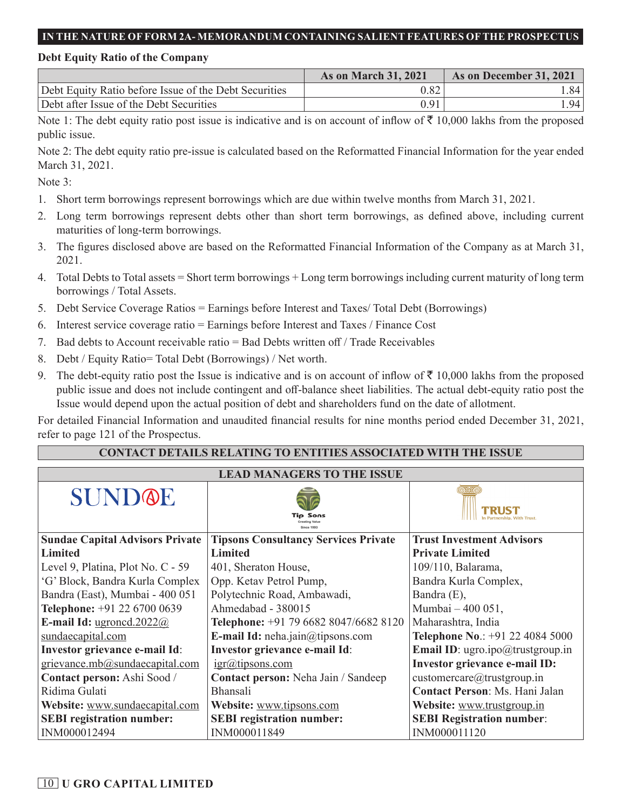### **Debt Equity Ratio of the Company**

|                                                       | <b>As on March 31, 2021</b> | As on December 31, 2021 |
|-------------------------------------------------------|-----------------------------|-------------------------|
| Debt Equity Ratio before Issue of the Debt Securities | 0.82                        | .841                    |
| Debt after Issue of the Debt Securities               | 0.91                        | ا 94. ا                 |

Note 1: The debt equity ratio post issue is indicative and is on account of inflow of  $\bar{\tau}$  10,000 lakhs from the proposed public issue.

Note 2: The debt equity ratio pre-issue is calculated based on the Reformatted Financial Information for the year ended March 31, 2021.

Note 3:

- 1. Short term borrowings represent borrowings which are due within twelve months from March 31, 2021.
- 2. Long term borrowings represent debts other than short term borrowings, as defined above, including current maturities of long-term borrowings.
- 3. The figures disclosed above are based on the Reformatted Financial Information of the Company as at March 31, 2021.
- 4. Total Debts to Total assets = Short term borrowings + Long term borrowings including current maturity of long term borrowings / Total Assets.
- 5. Debt Service Coverage Ratios = Earnings before Interest and Taxes/ Total Debt (Borrowings)
- 6. Interest service coverage ratio = Earnings before Interest and Taxes / Finance Cost
- 7. Bad debts to Account receivable ratio = Bad Debts written off / Trade Receivables
- 8. Debt / Equity Ratio= Total Debt (Borrowings) / Net worth.
- 9. The debt-equity ratio post the Issue is indicative and is on account of inflow of  $\bar{\tau}$  10,000 lakhs from the proposed public issue and does not include contingent and off-balance sheet liabilities. The actual debt-equity ratio post the Issue would depend upon the actual position of debt and shareholders fund on the date of allotment.

For detailed Financial Information and unaudited financial results for nine months period ended December 31, 2021, refer to page 121 of the Prospectus.

## **CONTACT DETAILS RELATING TO ENTITIES ASSOCIATED WITH THE ISSUE**

# **LEAD MANAGERS TO THE ISSUE**

| <b>SUND@E</b>                          | Tio Sons                                    |                                      |  |  |  |
|----------------------------------------|---------------------------------------------|--------------------------------------|--|--|--|
| <b>Sundae Capital Advisors Private</b> | <b>Tipsons Consultancy Services Private</b> | <b>Trust Investment Advisors</b>     |  |  |  |
| <b>Limited</b>                         | <b>Limited</b>                              | <b>Private Limited</b>               |  |  |  |
| Level 9, Platina, Plot No. C - 59      | 401, Sheraton House,                        | 109/110, Balarama,                   |  |  |  |
| 'G' Block, Bandra Kurla Complex        | Opp. Ketav Petrol Pump,                     | Bandra Kurla Complex,                |  |  |  |
| Bandra (East), Mumbai - 400 051        | Polytechnic Road, Ambawadi,                 | Bandra (E),                          |  |  |  |
| Telephone: +91 22 6700 0639            | Ahmedabad - 380015                          | Mumbai - 400 051,                    |  |  |  |
| E-mail Id: ugroned.2022@               | Telephone: +91 79 6682 8047/6682 8120       | Maharashtra, India                   |  |  |  |
| sundaecapital.com                      | E-mail Id: neha.jain@tipsons.com            | Telephone No.: +91 22 4084 5000      |  |  |  |
| Investor grievance e-mail Id:          | Investor grievance e-mail Id:               | Email ID: ugro.ipo@trustgroup.in     |  |  |  |
| grievance.mb@sundaecapital.com         | $igr(\omega)$ tipsons.com                   | <b>Investor grievance e-mail ID:</b> |  |  |  |
| Contact person: Ashi Sood /            | Contact person: Neha Jain / Sandeep         | customercare@trustgroup.in           |  |  |  |
| Ridima Gulati                          | <b>Bhansali</b>                             | Contact Person: Ms. Hani Jalan       |  |  |  |
| Website: www.sundaecapital.com         | Website: www.tipsons.com                    | Website: www.trustgroup.in           |  |  |  |
| <b>SEBI</b> registration number:       | <b>SEBI</b> registration number:            | <b>SEBI Registration number:</b>     |  |  |  |
| INM000012494                           | INM000011849                                | INM000011120                         |  |  |  |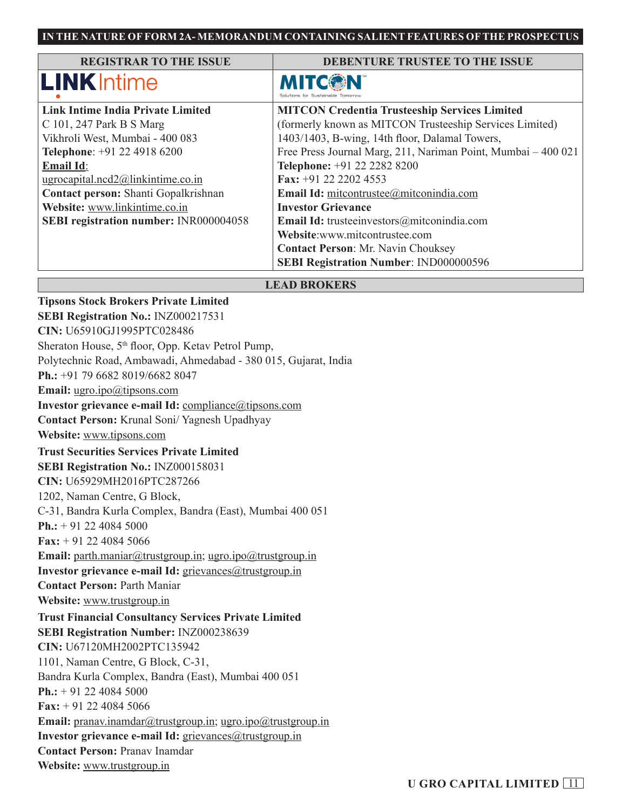| <b>REGISTRAR TO THE ISSUE</b>                                                                | DEBENTURE TRUSTEE TO THE ISSUE                          |
|----------------------------------------------------------------------------------------------|---------------------------------------------------------|
| <b>LINK</b> Intime                                                                           | MITCON                                                  |
| <b>Link Intime India Private Limited</b>                                                     | <b>MITCON Credentia Trusteeship Services Limited</b>    |
| C 101, 247 Park B S Marg                                                                     | (formerly known as MITCON Trusteeship Services Limited) |
| Vikhroli West, Mumbai - 400 083                                                              | 1403/1403, B-wing, 14th floor, Dalamal Towers,          |
| Free Press Journal Marg, 211, Nariman Point, Mumbai - 400 021<br>Telephone: +91 22 4918 6200 |                                                         |
| <b>Email Id:</b>                                                                             | Telephone: +91 22 2282 8200                             |
| ugrocapital.ncd2@linkintime.co.in                                                            | Fax: $+91$ 22 2202 4553                                 |
| Contact person: Shanti Gopalkrishnan                                                         | Email Id: mitcontrustee@mitconindia.com                 |
| Website: www.linkintime.co.in                                                                | <b>Investor Grievance</b>                               |
| <b>SEBI registration number: INR000004058</b>                                                | Email Id: trusteeinvestors@mitconindia.com              |
|                                                                                              | Website:www.mitcontrustee.com                           |
|                                                                                              | <b>Contact Person: Mr. Navin Chouksey</b>               |
|                                                                                              | SEBI Registration Number: IND000000596                  |

#### **LEAD BROKERS**

**Tipsons Stock Brokers Private Limited SEBI Registration No.:** INZ000217531 **CIN:** U65910GJ1995PTC028486 Sheraton House, 5<sup>th</sup> floor, Opp. Ketav Petrol Pump, Polytechnic Road, Ambawadi, Ahmedabad - 380 015, Gujarat, India **Ph.:** +91 79 6682 8019/6682 8047 **Email:** ugro.ipo@tipsons.com **Investor grievance e-mail Id:** compliance@tipsons.com **Contact Person:** Krunal Soni/ Yagnesh Upadhyay **Website:** www.tipsons.com **Trust Securities Services Private Limited SEBI Registration No.:** INZ000158031 **CIN:** U65929MH2016PTC287266 1202, Naman Centre, G Block, C-31, Bandra Kurla Complex, Bandra (East), Mumbai 400 051 **Ph.:** + 91 22 4084 5000 **Fax:** + 91 22 4084 5066 Email: parth.maniar@trustgroup.in; ugro.ipo@trustgroup.in **Investor grievance e-mail Id:** grievances@trustgroup.in **Contact Person:** Parth Maniar **Website:** www.trustgroup.in **Trust Financial Consultancy Services Private Limited SEBI Registration Number:** INZ000238639 **CIN:** U67120MH2002PTC135942 1101, Naman Centre, G Block, C-31, Bandra Kurla Complex, Bandra (East), Mumbai 400 051 **Ph.:** + 91 22 4084 5000 **Fax:** + 91 22 4084 5066 **Email:** pranav.inamdar@trustgroup.in; ugro.ipo@trustgroup.in **Investor grievance e-mail Id:** grievances@trustgroup.in **Contact Person:** Pranav Inamdar **Website:** www.trustgroup.in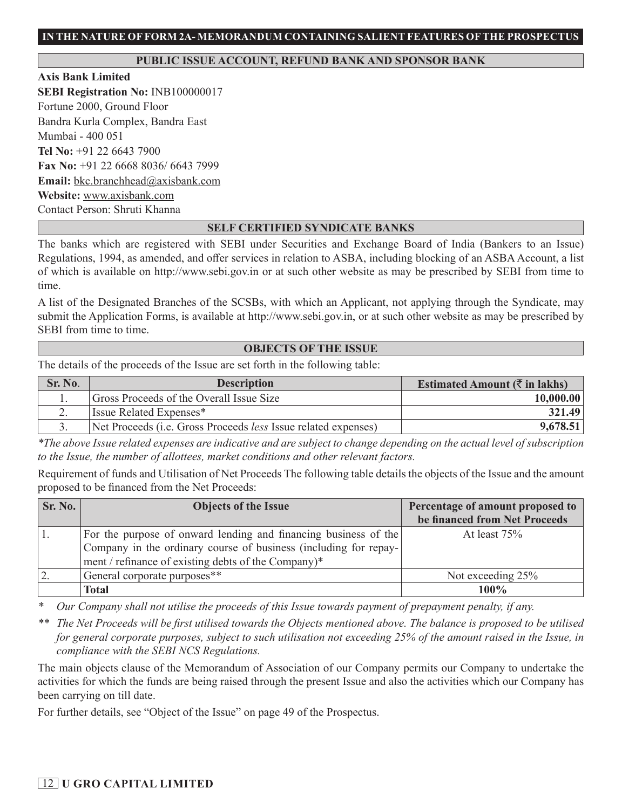### **PUBLIC ISSUE ACCOUNT, REFUND BANK AND SPONSOR BANK**

**Axis Bank Limited SEBI Registration No:** INB100000017 Fortune 2000, Ground Floor Bandra Kurla Complex, Bandra East Mumbai - 400 051 **Tel No:** +91 22 6643 7900 **Fax No:** +91 22 6668 8036/ 6643 7999 **Email:** bkc.branchhead@axisbank.com **Website:** www.axisbank.com Contact Person: Shruti Khanna

## **SELF CERTIFIED SYNDICATE BANKS**

The banks which are registered with SEBI under Securities and Exchange Board of India (Bankers to an Issue) Regulations, 1994, as amended, and offer services in relation to ASBA, including blocking of an ASBA Account, a list of which is available on http://www.sebi.gov.in or at such other website as may be prescribed by SEBI from time to time.

A list of the Designated Branches of the SCSBs, with which an Applicant, not applying through the Syndicate, may submit the Application Forms, is available at http://www.sebi.gov.in, or at such other website as may be prescribed by SEBI from time to time.

#### **OBJECTS OF THE ISSUE**

The details of the proceeds of the Issue are set forth in the following table:

| Sr. No.  | <b>Description</b>                                                            | Estimated Amount $(\bar{\tau}$ in lakhs) |
|----------|-------------------------------------------------------------------------------|------------------------------------------|
|          | Gross Proceeds of the Overall Issue Size                                      | 10,000.00                                |
| <u>.</u> | Issue Related Expenses*                                                       | 321.49                                   |
|          | Net Proceeds ( <i>i.e.</i> Gross Proceeds <i>less</i> Issue related expenses) | 9,678.51                                 |

*\*The above Issue related expenses are indicative and are subject to change depending on the actual level of subscription to the Issue, the number of allottees, market conditions and other relevant factors.*

Requirement of funds and Utilisation of Net Proceeds The following table details the objects of the Issue and the amount proposed to be financed from the Net Proceeds:

| Sr. No. | <b>Objects of the Issue</b>                                      | Percentage of amount proposed to |
|---------|------------------------------------------------------------------|----------------------------------|
|         |                                                                  | be financed from Net Proceeds    |
|         | For the purpose of onward lending and financing business of the  | At least $75%$                   |
|         | Company in the ordinary course of business (including for repay- |                                  |
|         | ment / refinance of existing debts of the Company)*              |                                  |
|         | General corporate purposes**                                     | Not exceeding 25%                |
|         | Total                                                            | $100\%$                          |

*\* Our Company shall not utilise the proceeds of this Issue towards payment of prepayment penalty, if any.*

*\*\* The Net Proceeds will be first utilised towards the Objects mentioned above. The balance is proposed to be utilised for general corporate purposes, subject to such utilisation not exceeding 25% of the amount raised in the Issue, in compliance with the SEBI NCS Regulations.*

The main objects clause of the Memorandum of Association of our Company permits our Company to undertake the activities for which the funds are being raised through the present Issue and also the activities which our Company has been carrying on till date.

For further details, see "Object of the Issue" on page 49 of the Prospectus.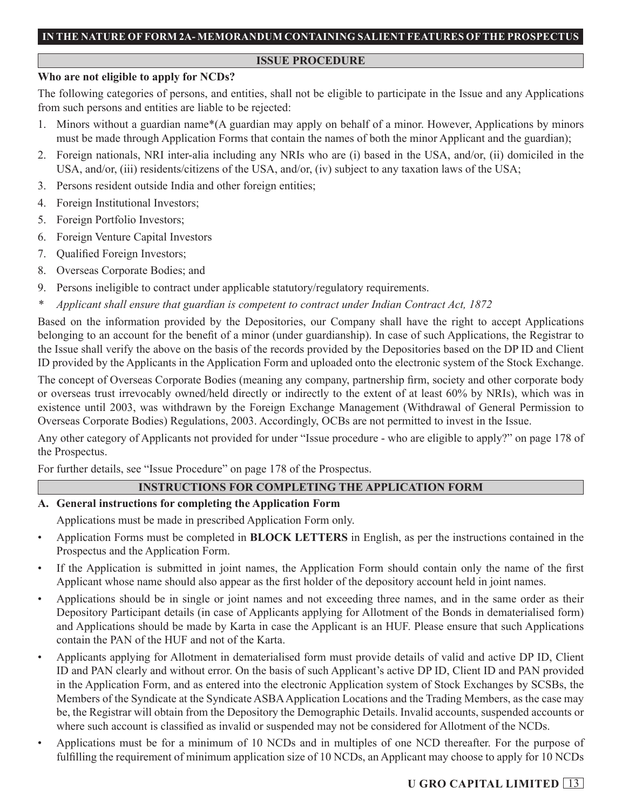#### **ISSUE PROCEDURE**

### **Who are not eligible to apply for NCDs?**

The following categories of persons, and entities, shall not be eligible to participate in the Issue and any Applications from such persons and entities are liable to be rejected:

- 1. Minors without a guardian name\*(A guardian may apply on behalf of a minor. However, Applications by minors must be made through Application Forms that contain the names of both the minor Applicant and the guardian);
- 2. Foreign nationals, NRI inter-alia including any NRIs who are (i) based in the USA, and/or, (ii) domiciled in the USA, and/or, (iii) residents/citizens of the USA, and/or, (iv) subject to any taxation laws of the USA;
- 3. Persons resident outside India and other foreign entities;
- 4. Foreign Institutional Investors;
- 5. Foreign Portfolio Investors;
- 6. Foreign Venture Capital Investors
- 7. Qualified Foreign Investors;
- 8. Overseas Corporate Bodies; and
- 9. Persons ineligible to contract under applicable statutory/regulatory requirements.
- *\* Applicant shall ensure that guardian is competent to contract under Indian Contract Act, 1872*

Based on the information provided by the Depositories, our Company shall have the right to accept Applications belonging to an account for the benefit of a minor (under guardianship). In case of such Applications, the Registrar to the Issue shall verify the above on the basis of the records provided by the Depositories based on the DP ID and Client ID provided by the Applicants in the Application Form and uploaded onto the electronic system of the Stock Exchange.

The concept of Overseas Corporate Bodies (meaning any company, partnership firm, society and other corporate body or overseas trust irrevocably owned/held directly or indirectly to the extent of at least 60% by NRIs), which was in existence until 2003, was withdrawn by the Foreign Exchange Management (Withdrawal of General Permission to Overseas Corporate Bodies) Regulations, 2003. Accordingly, OCBs are not permitted to invest in the Issue.

Any other category of Applicants not provided for under "Issue procedure - who are eligible to apply?" on page 178 of the Prospectus.

For further details, see "Issue Procedure" on page 178 of the Prospectus.

## **INSTRUCTIONS FOR COMPLETING THE APPLICATION FORM**

## **A. General instructions for completing the Application Form**

- Applications must be made in prescribed Application Form only.
- Application Forms must be completed in **BLOCK LETTERS** in English, as per the instructions contained in the Prospectus and the Application Form.
- If the Application is submitted in joint names, the Application Form should contain only the name of the first Applicant whose name should also appear as the first holder of the depository account held in joint names.
- Applications should be in single or joint names and not exceeding three names, and in the same order as their Depository Participant details (in case of Applicants applying for Allotment of the Bonds in dematerialised form) and Applications should be made by Karta in case the Applicant is an HUF. Please ensure that such Applications contain the PAN of the HUF and not of the Karta.
- Applicants applying for Allotment in dematerialised form must provide details of valid and active DP ID, Client ID and PAN clearly and without error. On the basis of such Applicant's active DP ID, Client ID and PAN provided in the Application Form, and as entered into the electronic Application system of Stock Exchanges by SCSBs, the Members of the Syndicate at the Syndicate ASBA Application Locations and the Trading Members, as the case may be, the Registrar will obtain from the Depository the Demographic Details. Invalid accounts, suspended accounts or where such account is classified as invalid or suspended may not be considered for Allotment of the NCDs.
- Applications must be for a minimum of 10 NCDs and in multiples of one NCD thereafter. For the purpose of fulfilling the requirement of minimum application size of 10 NCDs, an Applicant may choose to apply for 10 NCDs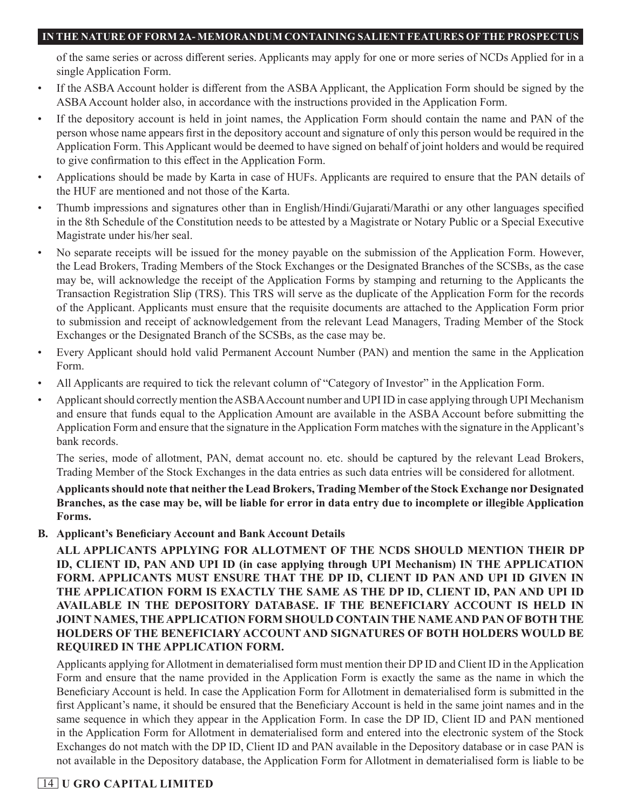of the same series or across different series. Applicants may apply for one or more series of NCDs Applied for in a single Application Form.

- If the ASBA Account holder is different from the ASBA Applicant, the Application Form should be signed by the ASBA Account holder also, in accordance with the instructions provided in the Application Form.
- If the depository account is held in joint names, the Application Form should contain the name and PAN of the person whose name appears first in the depository account and signature of only this person would be required in the Application Form. This Applicant would be deemed to have signed on behalf of joint holders and would be required to give confirmation to this effect in the Application Form.
- Applications should be made by Karta in case of HUFs. Applicants are required to ensure that the PAN details of the HUF are mentioned and not those of the Karta.
- Thumb impressions and signatures other than in English/Hindi/Gujarati/Marathi or any other languages specified in the 8th Schedule of the Constitution needs to be attested by a Magistrate or Notary Public or a Special Executive Magistrate under his/her seal.
- No separate receipts will be issued for the money payable on the submission of the Application Form. However, the Lead Brokers, Trading Members of the Stock Exchanges or the Designated Branches of the SCSBs, as the case may be, will acknowledge the receipt of the Application Forms by stamping and returning to the Applicants the Transaction Registration Slip (TRS). This TRS will serve as the duplicate of the Application Form for the records of the Applicant. Applicants must ensure that the requisite documents are attached to the Application Form prior to submission and receipt of acknowledgement from the relevant Lead Managers, Trading Member of the Stock Exchanges or the Designated Branch of the SCSBs, as the case may be.
- Every Applicant should hold valid Permanent Account Number (PAN) and mention the same in the Application Form.
- All Applicants are required to tick the relevant column of "Category of Investor" in the Application Form.
- Applicant should correctly mention the ASBA Account number and UPI ID in case applying through UPI Mechanism and ensure that funds equal to the Application Amount are available in the ASBA Account before submitting the Application Form and ensure that the signature in the Application Form matches with the signature in the Applicant's bank records.

The series, mode of allotment, PAN, demat account no. etc. should be captured by the relevant Lead Brokers, Trading Member of the Stock Exchanges in the data entries as such data entries will be considered for allotment.

**Applicants should note that neither the Lead Brokers, Trading Member of the Stock Exchange nor Designated Branches, as the case may be, will be liable for error in data entry due to incomplete or illegible Application Forms.**

**B. Applicant's Beneficiary Account and Bank Account Details**

**ALL APPLICANTS APPLYING FOR ALLOTMENT OF THE NCDS SHOULD MENTION THEIR DP ID, CLIENT ID, PAN AND UPI ID (in case applying through UPI Mechanism) IN THE APPLICATION FORM. APPLICANTS MUST ENSURE THAT THE DP ID, CLIENT ID PAN AND UPI ID GIVEN IN THE APPLICATION FORM IS EXACTLY THE SAME AS THE DP ID, CLIENT ID, PAN AND UPI ID AVAILABLE IN THE DEPOSITORY DATABASE. IF THE BENEFICIARY ACCOUNT IS HELD IN JOINT NAMES, THE APPLICATION FORM SHOULD CONTAIN THE NAME AND PAN OF BOTH THE HOLDERS OF THE BENEFICIARY ACCOUNT AND SIGNATURES OF BOTH HOLDERS WOULD BE REQUIRED IN THE APPLICATION FORM.**

Applicants applying for Allotment in dematerialised form must mention their DP ID and Client ID in the Application Form and ensure that the name provided in the Application Form is exactly the same as the name in which the Beneficiary Account is held. In case the Application Form for Allotment in dematerialised form is submitted in the first Applicant's name, it should be ensured that the Beneficiary Account is held in the same joint names and in the same sequence in which they appear in the Application Form. In case the DP ID, Client ID and PAN mentioned in the Application Form for Allotment in dematerialised form and entered into the electronic system of the Stock Exchanges do not match with the DP ID, Client ID and PAN available in the Depository database or in case PAN is not available in the Depository database, the Application Form for Allotment in dematerialised form is liable to be

# 14 **U GRO CAPITAL LIMITED**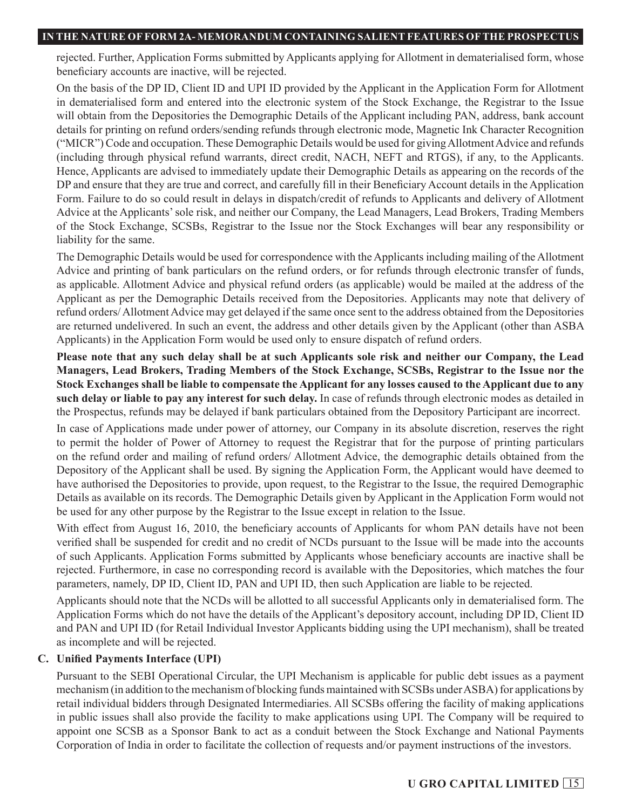rejected. Further, Application Forms submitted by Applicants applying for Allotment in dematerialised form, whose beneficiary accounts are inactive, will be rejected.

On the basis of the DP ID, Client ID and UPI ID provided by the Applicant in the Application Form for Allotment in dematerialised form and entered into the electronic system of the Stock Exchange, the Registrar to the Issue will obtain from the Depositories the Demographic Details of the Applicant including PAN, address, bank account details for printing on refund orders/sending refunds through electronic mode, Magnetic Ink Character Recognition ("MICR") Code and occupation. These Demographic Details would be used for giving Allotment Advice and refunds (including through physical refund warrants, direct credit, NACH, NEFT and RTGS), if any, to the Applicants. Hence, Applicants are advised to immediately update their Demographic Details as appearing on the records of the DP and ensure that they are true and correct, and carefully fill in their Beneficiary Account details in the Application Form. Failure to do so could result in delays in dispatch/credit of refunds to Applicants and delivery of Allotment Advice at the Applicants' sole risk, and neither our Company, the Lead Managers, Lead Brokers, Trading Members of the Stock Exchange, SCSBs, Registrar to the Issue nor the Stock Exchanges will bear any responsibility or liability for the same.

The Demographic Details would be used for correspondence with the Applicants including mailing of the Allotment Advice and printing of bank particulars on the refund orders, or for refunds through electronic transfer of funds, as applicable. Allotment Advice and physical refund orders (as applicable) would be mailed at the address of the Applicant as per the Demographic Details received from the Depositories. Applicants may note that delivery of refund orders/ Allotment Advice may get delayed if the same once sent to the address obtained from the Depositories are returned undelivered. In such an event, the address and other details given by the Applicant (other than ASBA Applicants) in the Application Form would be used only to ensure dispatch of refund orders.

**Please note that any such delay shall be at such Applicants sole risk and neither our Company, the Lead Managers, Lead Brokers, Trading Members of the Stock Exchange, SCSBs, Registrar to the Issue nor the Stock Exchanges shall be liable to compensate the Applicant for any losses caused to the Applicant due to any such delay or liable to pay any interest for such delay.** In case of refunds through electronic modes as detailed in the Prospectus, refunds may be delayed if bank particulars obtained from the Depository Participant are incorrect.

In case of Applications made under power of attorney, our Company in its absolute discretion, reserves the right to permit the holder of Power of Attorney to request the Registrar that for the purpose of printing particulars on the refund order and mailing of refund orders/ Allotment Advice, the demographic details obtained from the Depository of the Applicant shall be used. By signing the Application Form, the Applicant would have deemed to have authorised the Depositories to provide, upon request, to the Registrar to the Issue, the required Demographic Details as available on its records. The Demographic Details given by Applicant in the Application Form would not be used for any other purpose by the Registrar to the Issue except in relation to the Issue.

With effect from August 16, 2010, the beneficiary accounts of Applicants for whom PAN details have not been verified shall be suspended for credit and no credit of NCDs pursuant to the Issue will be made into the accounts of such Applicants. Application Forms submitted by Applicants whose beneficiary accounts are inactive shall be rejected. Furthermore, in case no corresponding record is available with the Depositories, which matches the four parameters, namely, DP ID, Client ID, PAN and UPI ID, then such Application are liable to be rejected.

Applicants should note that the NCDs will be allotted to all successful Applicants only in dematerialised form. The Application Forms which do not have the details of the Applicant's depository account, including DP ID, Client ID and PAN and UPI ID (for Retail Individual Investor Applicants bidding using the UPI mechanism), shall be treated as incomplete and will be rejected.

## **C. Unified Payments Interface (UPI)**

Pursuant to the SEBI Operational Circular, the UPI Mechanism is applicable for public debt issues as a payment mechanism (in addition to the mechanism of blocking funds maintained with SCSBs under ASBA) for applications by retail individual bidders through Designated Intermediaries. All SCSBs offering the facility of making applications in public issues shall also provide the facility to make applications using UPI. The Company will be required to appoint one SCSB as a Sponsor Bank to act as a conduit between the Stock Exchange and National Payments Corporation of India in order to facilitate the collection of requests and/or payment instructions of the investors.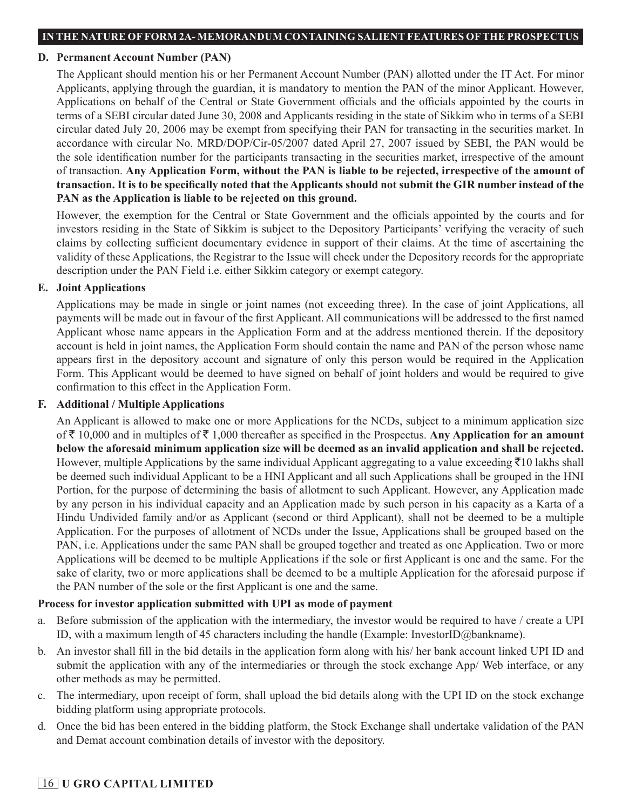#### **D. Permanent Account Number (PAN)**

The Applicant should mention his or her Permanent Account Number (PAN) allotted under the IT Act. For minor Applicants, applying through the guardian, it is mandatory to mention the PAN of the minor Applicant. However, Applications on behalf of the Central or State Government officials and the officials appointed by the courts in terms of a SEBI circular dated June 30, 2008 and Applicants residing in the state of Sikkim who in terms of a SEBI circular dated July 20, 2006 may be exempt from specifying their PAN for transacting in the securities market. In accordance with circular No. MRD/DOP/Cir-05/2007 dated April 27, 2007 issued by SEBI, the PAN would be the sole identification number for the participants transacting in the securities market, irrespective of the amount of transaction. **Any Application Form, without the PAN is liable to be rejected, irrespective of the amount of transaction. It is to be specifically noted that the Applicants should not submit the GIR number instead of the PAN as the Application is liable to be rejected on this ground.**

However, the exemption for the Central or State Government and the officials appointed by the courts and for investors residing in the State of Sikkim is subject to the Depository Participants' verifying the veracity of such claims by collecting sufficient documentary evidence in support of their claims. At the time of ascertaining the validity of these Applications, the Registrar to the Issue will check under the Depository records for the appropriate description under the PAN Field i.e. either Sikkim category or exempt category.

## **E. Joint Applications**

Applications may be made in single or joint names (not exceeding three). In the case of joint Applications, all payments will be made out in favour of the first Applicant. All communications will be addressed to the first named Applicant whose name appears in the Application Form and at the address mentioned therein. If the depository account is held in joint names, the Application Form should contain the name and PAN of the person whose name appears first in the depository account and signature of only this person would be required in the Application Form. This Applicant would be deemed to have signed on behalf of joint holders and would be required to give confirmation to this effect in the Application Form.

## **F. Additional / Multiple Applications**

An Applicant is allowed to make one or more Applications for the NCDs, subject to a minimum application size of  $\bar{\tau}$  10,000 and in multiples of  $\bar{\tau}$  1,000 thereafter as specified in the Prospectus. Any Application for an amount **below the aforesaid minimum application size will be deemed as an invalid application and shall be rejected.** However, multiple Applications by the same individual Applicant aggregating to a value exceeding  $\bar{\tau}$ 10 lakhs shall be deemed such individual Applicant to be a HNI Applicant and all such Applications shall be grouped in the HNI Portion, for the purpose of determining the basis of allotment to such Applicant. However, any Application made by any person in his individual capacity and an Application made by such person in his capacity as a Karta of a Hindu Undivided family and/or as Applicant (second or third Applicant), shall not be deemed to be a multiple Application. For the purposes of allotment of NCDs under the Issue, Applications shall be grouped based on the PAN, i.e. Applications under the same PAN shall be grouped together and treated as one Application. Two or more Applications will be deemed to be multiple Applications if the sole or first Applicant is one and the same. For the sake of clarity, two or more applications shall be deemed to be a multiple Application for the aforesaid purpose if the PAN number of the sole or the first Applicant is one and the same.

## **Process for investor application submitted with UPI as mode of payment**

- a. Before submission of the application with the intermediary, the investor would be required to have / create a UPI ID, with a maximum length of 45 characters including the handle (Example: InvestorID@bankname).
- b. An investor shall fill in the bid details in the application form along with his/ her bank account linked UPI ID and submit the application with any of the intermediaries or through the stock exchange App/ Web interface, or any other methods as may be permitted.
- c. The intermediary, upon receipt of form, shall upload the bid details along with the UPI ID on the stock exchange bidding platform using appropriate protocols.
- d. Once the bid has been entered in the bidding platform, the Stock Exchange shall undertake validation of the PAN and Demat account combination details of investor with the depository.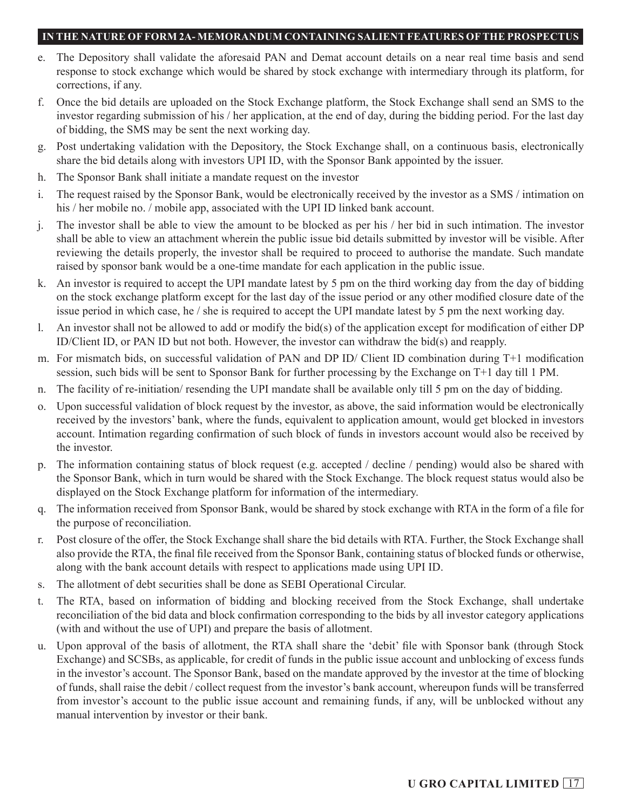- e. The Depository shall validate the aforesaid PAN and Demat account details on a near real time basis and send response to stock exchange which would be shared by stock exchange with intermediary through its platform, for corrections, if any.
- f. Once the bid details are uploaded on the Stock Exchange platform, the Stock Exchange shall send an SMS to the investor regarding submission of his / her application, at the end of day, during the bidding period. For the last day of bidding, the SMS may be sent the next working day.
- g. Post undertaking validation with the Depository, the Stock Exchange shall, on a continuous basis, electronically share the bid details along with investors UPI ID, with the Sponsor Bank appointed by the issuer.
- h. The Sponsor Bank shall initiate a mandate request on the investor
- i. The request raised by the Sponsor Bank, would be electronically received by the investor as a SMS / intimation on his / her mobile no. / mobile app, associated with the UPI ID linked bank account.
- j. The investor shall be able to view the amount to be blocked as per his / her bid in such intimation. The investor shall be able to view an attachment wherein the public issue bid details submitted by investor will be visible. After reviewing the details properly, the investor shall be required to proceed to authorise the mandate. Such mandate raised by sponsor bank would be a one-time mandate for each application in the public issue.
- k. An investor is required to accept the UPI mandate latest by 5 pm on the third working day from the day of bidding on the stock exchange platform except for the last day of the issue period or any other modified closure date of the issue period in which case, he / she is required to accept the UPI mandate latest by 5 pm the next working day.
- l. An investor shall not be allowed to add or modify the bid(s) of the application except for modification of either DP ID/Client ID, or PAN ID but not both. However, the investor can withdraw the bid(s) and reapply.
- m. For mismatch bids, on successful validation of PAN and DP ID/ Client ID combination during T+1 modification session, such bids will be sent to Sponsor Bank for further processing by the Exchange on T+1 day till 1 PM.
- n. The facility of re-initiation/ resending the UPI mandate shall be available only till 5 pm on the day of bidding.
- o. Upon successful validation of block request by the investor, as above, the said information would be electronically received by the investors' bank, where the funds, equivalent to application amount, would get blocked in investors account. Intimation regarding confirmation of such block of funds in investors account would also be received by the investor.
- p. The information containing status of block request (e.g. accepted / decline / pending) would also be shared with the Sponsor Bank, which in turn would be shared with the Stock Exchange. The block request status would also be displayed on the Stock Exchange platform for information of the intermediary.
- q. The information received from Sponsor Bank, would be shared by stock exchange with RTA in the form of a file for the purpose of reconciliation.
- r. Post closure of the offer, the Stock Exchange shall share the bid details with RTA. Further, the Stock Exchange shall also provide the RTA, the final file received from the Sponsor Bank, containing status of blocked funds or otherwise, along with the bank account details with respect to applications made using UPI ID.
- s. The allotment of debt securities shall be done as SEBI Operational Circular.
- t. The RTA, based on information of bidding and blocking received from the Stock Exchange, shall undertake reconciliation of the bid data and block confirmation corresponding to the bids by all investor category applications (with and without the use of UPI) and prepare the basis of allotment.
- u. Upon approval of the basis of allotment, the RTA shall share the 'debit' file with Sponsor bank (through Stock Exchange) and SCSBs, as applicable, for credit of funds in the public issue account and unblocking of excess funds in the investor's account. The Sponsor Bank, based on the mandate approved by the investor at the time of blocking of funds, shall raise the debit / collect request from the investor's bank account, whereupon funds will be transferred from investor's account to the public issue account and remaining funds, if any, will be unblocked without any manual intervention by investor or their bank.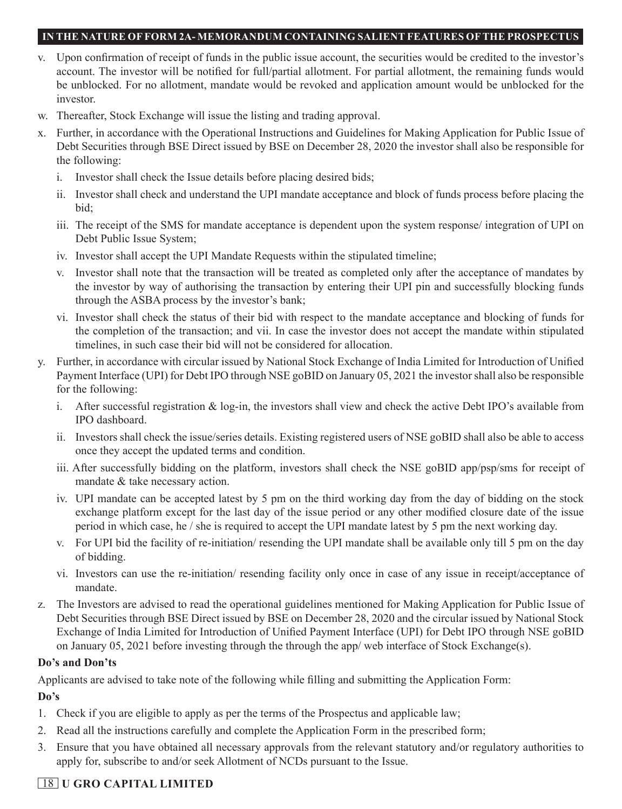- v. Upon confirmation of receipt of funds in the public issue account, the securities would be credited to the investor's account. The investor will be notified for full/partial allotment. For partial allotment, the remaining funds would be unblocked. For no allotment, mandate would be revoked and application amount would be unblocked for the investor.
- w. Thereafter, Stock Exchange will issue the listing and trading approval.
- x. Further, in accordance with the Operational Instructions and Guidelines for Making Application for Public Issue of Debt Securities through BSE Direct issued by BSE on December 28, 2020 the investor shall also be responsible for the following:
	- i. Investor shall check the Issue details before placing desired bids;
	- ii. Investor shall check and understand the UPI mandate acceptance and block of funds process before placing the bid;
	- iii. The receipt of the SMS for mandate acceptance is dependent upon the system response/ integration of UPI on Debt Public Issue System;
	- iv. Investor shall accept the UPI Mandate Requests within the stipulated timeline;
	- v. Investor shall note that the transaction will be treated as completed only after the acceptance of mandates by the investor by way of authorising the transaction by entering their UPI pin and successfully blocking funds through the ASBA process by the investor's bank;
	- vi. Investor shall check the status of their bid with respect to the mandate acceptance and blocking of funds for the completion of the transaction; and vii. In case the investor does not accept the mandate within stipulated timelines, in such case their bid will not be considered for allocation.
- y. Further, in accordance with circular issued by National Stock Exchange of India Limited for Introduction of Unified Payment Interface (UPI) for Debt IPO through NSE goBID on January 05, 2021 the investor shall also be responsible for the following:
	- i. After successful registration & log-in, the investors shall view and check the active Debt IPO's available from IPO dashboard.
	- ii. Investors shall check the issue/series details. Existing registered users of NSE goBID shall also be able to access once they accept the updated terms and condition.
	- iii. After successfully bidding on the platform, investors shall check the NSE goBID app/psp/sms for receipt of mandate & take necessary action.
	- iv. UPI mandate can be accepted latest by 5 pm on the third working day from the day of bidding on the stock exchange platform except for the last day of the issue period or any other modified closure date of the issue period in which case, he / she is required to accept the UPI mandate latest by 5 pm the next working day.
	- v. For UPI bid the facility of re-initiation/ resending the UPI mandate shall be available only till 5 pm on the day of bidding.
	- vi. Investors can use the re-initiation/ resending facility only once in case of any issue in receipt/acceptance of mandate.
- z. The Investors are advised to read the operational guidelines mentioned for Making Application for Public Issue of Debt Securities through BSE Direct issued by BSE on December 28, 2020 and the circular issued by National Stock Exchange of India Limited for Introduction of Unified Payment Interface (UPI) for Debt IPO through NSE goBID on January 05, 2021 before investing through the through the app/ web interface of Stock Exchange(s).

### **Do's and Don'ts**

Applicants are advised to take note of the following while filling and submitting the Application Form:

## **Do's**

- 1. Check if you are eligible to apply as per the terms of the Prospectus and applicable law;
- 2. Read all the instructions carefully and complete the Application Form in the prescribed form;
- 3. Ensure that you have obtained all necessary approvals from the relevant statutory and/or regulatory authorities to apply for, subscribe to and/or seek Allotment of NCDs pursuant to the Issue.

# 18 **U GRO CAPITAL LIMITED**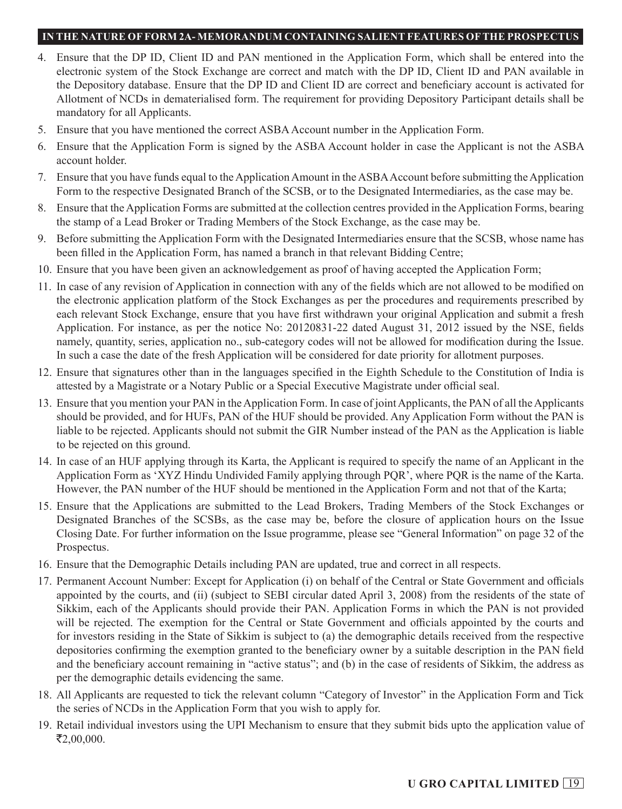- 4. Ensure that the DP ID, Client ID and PAN mentioned in the Application Form, which shall be entered into the electronic system of the Stock Exchange are correct and match with the DP ID, Client ID and PAN available in the Depository database. Ensure that the DP ID and Client ID are correct and beneficiary account is activated for Allotment of NCDs in dematerialised form. The requirement for providing Depository Participant details shall be mandatory for all Applicants.
- 5. Ensure that you have mentioned the correct ASBA Account number in the Application Form.
- 6. Ensure that the Application Form is signed by the ASBA Account holder in case the Applicant is not the ASBA account holder.
- 7. Ensure that you have funds equal to the Application Amount in the ASBA Account before submitting the Application Form to the respective Designated Branch of the SCSB, or to the Designated Intermediaries, as the case may be.
- 8. Ensure that the Application Forms are submitted at the collection centres provided in the Application Forms, bearing the stamp of a Lead Broker or Trading Members of the Stock Exchange, as the case may be.
- 9. Before submitting the Application Form with the Designated Intermediaries ensure that the SCSB, whose name has been filled in the Application Form, has named a branch in that relevant Bidding Centre;
- 10. Ensure that you have been given an acknowledgement as proof of having accepted the Application Form;
- 11. In case of any revision of Application in connection with any of the fields which are not allowed to be modified on the electronic application platform of the Stock Exchanges as per the procedures and requirements prescribed by each relevant Stock Exchange, ensure that you have first withdrawn your original Application and submit a fresh Application. For instance, as per the notice No: 20120831-22 dated August 31, 2012 issued by the NSE, fields namely, quantity, series, application no., sub-category codes will not be allowed for modification during the Issue. In such a case the date of the fresh Application will be considered for date priority for allotment purposes.
- 12. Ensure that signatures other than in the languages specified in the Eighth Schedule to the Constitution of India is attested by a Magistrate or a Notary Public or a Special Executive Magistrate under official seal.
- 13. Ensure that you mention your PAN in the Application Form. In case of joint Applicants, the PAN of all the Applicants should be provided, and for HUFs, PAN of the HUF should be provided. Any Application Form without the PAN is liable to be rejected. Applicants should not submit the GIR Number instead of the PAN as the Application is liable to be rejected on this ground.
- 14. In case of an HUF applying through its Karta, the Applicant is required to specify the name of an Applicant in the Application Form as 'XYZ Hindu Undivided Family applying through PQR', where PQR is the name of the Karta. However, the PAN number of the HUF should be mentioned in the Application Form and not that of the Karta;
- 15. Ensure that the Applications are submitted to the Lead Brokers, Trading Members of the Stock Exchanges or Designated Branches of the SCSBs, as the case may be, before the closure of application hours on the Issue Closing Date. For further information on the Issue programme, please see "General Information" on page 32 of the Prospectus.
- 16. Ensure that the Demographic Details including PAN are updated, true and correct in all respects.
- 17. Permanent Account Number: Except for Application (i) on behalf of the Central or State Government and officials appointed by the courts, and (ii) (subject to SEBI circular dated April 3, 2008) from the residents of the state of Sikkim, each of the Applicants should provide their PAN. Application Forms in which the PAN is not provided will be rejected. The exemption for the Central or State Government and officials appointed by the courts and for investors residing in the State of Sikkim is subject to (a) the demographic details received from the respective depositories confirming the exemption granted to the beneficiary owner by a suitable description in the PAN field and the beneficiary account remaining in "active status"; and (b) in the case of residents of Sikkim, the address as per the demographic details evidencing the same.
- 18. All Applicants are requested to tick the relevant column "Category of Investor" in the Application Form and Tick the series of NCDs in the Application Form that you wish to apply for.
- 19. Retail individual investors using the UPI Mechanism to ensure that they submit bids upto the application value of  $\mathsf{\bar{E}}2,00,000.$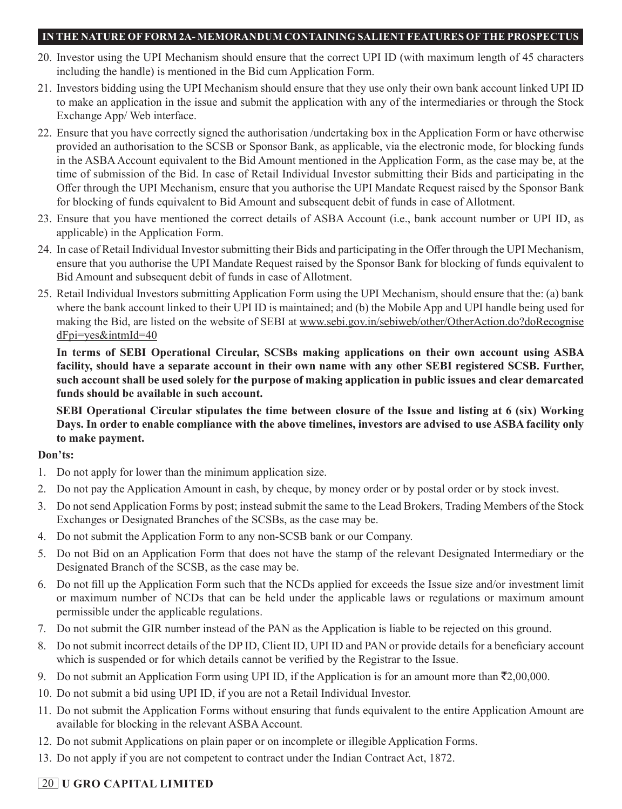- 20. Investor using the UPI Mechanism should ensure that the correct UPI ID (with maximum length of 45 characters including the handle) is mentioned in the Bid cum Application Form.
- 21. Investors bidding using the UPI Mechanism should ensure that they use only their own bank account linked UPI ID to make an application in the issue and submit the application with any of the intermediaries or through the Stock Exchange App/ Web interface.
- 22. Ensure that you have correctly signed the authorisation /undertaking box in the Application Form or have otherwise provided an authorisation to the SCSB or Sponsor Bank, as applicable, via the electronic mode, for blocking funds in the ASBA Account equivalent to the Bid Amount mentioned in the Application Form, as the case may be, at the time of submission of the Bid. In case of Retail Individual Investor submitting their Bids and participating in the Offer through the UPI Mechanism, ensure that you authorise the UPI Mandate Request raised by the Sponsor Bank for blocking of funds equivalent to Bid Amount and subsequent debit of funds in case of Allotment.
- 23. Ensure that you have mentioned the correct details of ASBA Account (i.e., bank account number or UPI ID, as applicable) in the Application Form.
- 24. In case of Retail Individual Investor submitting their Bids and participating in the Offer through the UPI Mechanism, ensure that you authorise the UPI Mandate Request raised by the Sponsor Bank for blocking of funds equivalent to Bid Amount and subsequent debit of funds in case of Allotment.
- 25. Retail Individual Investors submitting Application Form using the UPI Mechanism, should ensure that the: (a) bank where the bank account linked to their UPI ID is maintained; and (b) the Mobile App and UPI handle being used for making the Bid, are listed on the website of SEBI at www.sebi.gov.in/sebiweb/other/OtherAction.do?doRecognise dFpi=yes&intmId=40

**In terms of SEBI Operational Circular, SCSBs making applications on their own account using ASBA facility, should have a separate account in their own name with any other SEBI registered SCSB. Further, such account shall be used solely for the purpose of making application in public issues and clear demarcated funds should be available in such account.**

**SEBI Operational Circular stipulates the time between closure of the Issue and listing at 6 (six) Working Days. In order to enable compliance with the above timelines, investors are advised to use ASBA facility only to make payment.**

## **Don'ts:**

- 1. Do not apply for lower than the minimum application size.
- 2. Do not pay the Application Amount in cash, by cheque, by money order or by postal order or by stock invest.
- 3. Do not send Application Forms by post; instead submit the same to the Lead Brokers, Trading Members of the Stock Exchanges or Designated Branches of the SCSBs, as the case may be.
- 4. Do not submit the Application Form to any non-SCSB bank or our Company.
- 5. Do not Bid on an Application Form that does not have the stamp of the relevant Designated Intermediary or the Designated Branch of the SCSB, as the case may be.
- 6. Do not fill up the Application Form such that the NCDs applied for exceeds the Issue size and/or investment limit or maximum number of NCDs that can be held under the applicable laws or regulations or maximum amount permissible under the applicable regulations.
- 7. Do not submit the GIR number instead of the PAN as the Application is liable to be rejected on this ground.
- 8. Do not submit incorrect details of the DP ID, Client ID, UPI ID and PAN or provide details for a beneficiary account which is suspended or for which details cannot be verified by the Registrar to the Issue.
- 9. Do not submit an Application Form using UPI ID, if the Application is for an amount more than  $\bar{\tau}$ 2,00,000.
- 10. Do not submit a bid using UPI ID, if you are not a Retail Individual Investor.
- 11. Do not submit the Application Forms without ensuring that funds equivalent to the entire Application Amount are available for blocking in the relevant ASBA Account.
- 12. Do not submit Applications on plain paper or on incomplete or illegible Application Forms.
- 13. Do not apply if you are not competent to contract under the Indian Contract Act, 1872.

# 20 **U GRO CAPITAL LIMITED**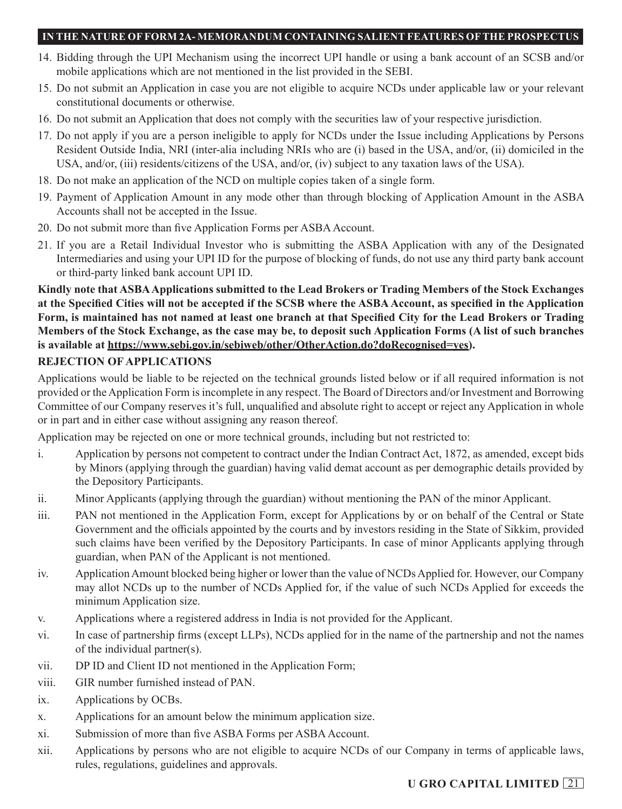- 14. Bidding through the UPI Mechanism using the incorrect UPI handle or using a bank account of an SCSB and/or mobile applications which are not mentioned in the list provided in the SEBI.
- 15. Do not submit an Application in case you are not eligible to acquire NCDs under applicable law or your relevant constitutional documents or otherwise.
- 16. Do not submit an Application that does not comply with the securities law of your respective jurisdiction.
- 17. Do not apply if you are a person ineligible to apply for NCDs under the Issue including Applications by Persons Resident Outside India, NRI (inter-alia including NRIs who are (i) based in the USA, and/or, (ii) domiciled in the USA, and/or, (iii) residents/citizens of the USA, and/or, (iv) subject to any taxation laws of the USA).
- 18. Do not make an application of the NCD on multiple copies taken of a single form.
- 19. Payment of Application Amount in any mode other than through blocking of Application Amount in the ASBA Accounts shall not be accepted in the Issue.
- 20. Do not submit more than five Application Forms per ASBA Account.
- 21. If you are a Retail Individual Investor who is submitting the ASBA Application with any of the Designated Intermediaries and using your UPI ID for the purpose of blocking of funds, do not use any third party bank account or third-party linked bank account UPI ID.

**Kindly note that ASBA Applications submitted to the Lead Brokers or Trading Members of the Stock Exchanges at the Specified Cities will not be accepted if the SCSB where the ASBA Account, as specified in the Application Form, is maintained has not named at least one branch at that Specified City for the Lead Brokers or Trading Members of the Stock Exchange, as the case may be, to deposit such Application Forms (A list of such branches is available at https://www.sebi.gov.in/sebiweb/other/OtherAction.do?doRecognised=yes).**

## **REJECTION OF APPLICATIONS**

Applications would be liable to be rejected on the technical grounds listed below or if all required information is not provided or the Application Form is incomplete in any respect. The Board of Directors and/or Investment and Borrowing Committee of our Company reserves it's full, unqualified and absolute right to accept or reject any Application in whole or in part and in either case without assigning any reason thereof.

Application may be rejected on one or more technical grounds, including but not restricted to:

- i. Application by persons not competent to contract under the Indian Contract Act, 1872, as amended, except bids by Minors (applying through the guardian) having valid demat account as per demographic details provided by the Depository Participants.
- ii. Minor Applicants (applying through the guardian) without mentioning the PAN of the minor Applicant.
- iii. PAN not mentioned in the Application Form, except for Applications by or on behalf of the Central or State Government and the officials appointed by the courts and by investors residing in the State of Sikkim, provided such claims have been verified by the Depository Participants. In case of minor Applicants applying through guardian, when PAN of the Applicant is not mentioned.
- iv. Application Amount blocked being higher or lower than the value of NCDs Applied for. However, our Company may allot NCDs up to the number of NCDs Applied for, if the value of such NCDs Applied for exceeds the minimum Application size.
- v. Applications where a registered address in India is not provided for the Applicant.
- vi. In case of partnership firms (except LLPs), NCDs applied for in the name of the partnership and not the names of the individual partner(s).
- vii. DP ID and Client ID not mentioned in the Application Form;
- viii. GIR number furnished instead of PAN.
- ix. Applications by OCBs.
- x. Applications for an amount below the minimum application size.
- xi. Submission of more than five ASBA Forms per ASBA Account.
- xii. Applications by persons who are not eligible to acquire NCDs of our Company in terms of applicable laws, rules, regulations, guidelines and approvals.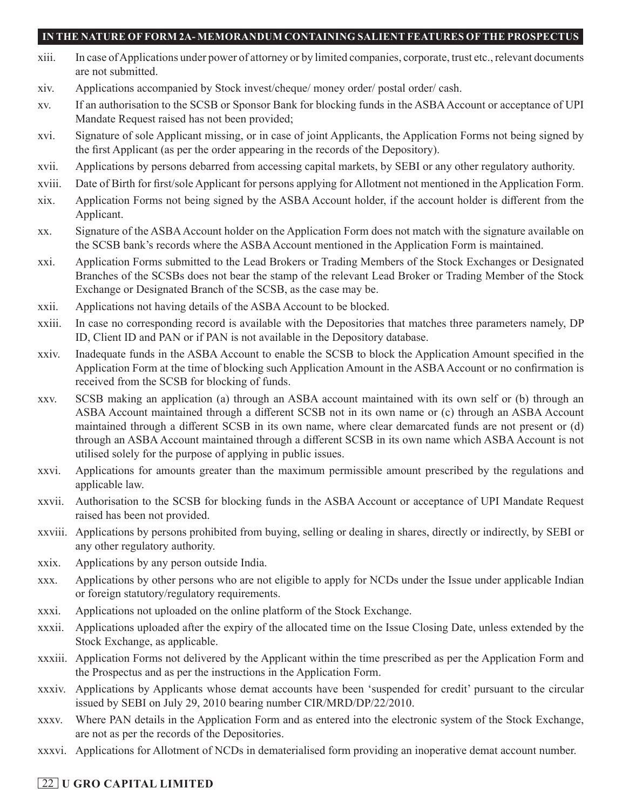- xiii. In case of Applications under power of attorney or by limited companies, corporate, trust etc., relevant documents are not submitted.
- xiv. Applications accompanied by Stock invest/cheque/ money order/ postal order/ cash.
- xv. If an authorisation to the SCSB or Sponsor Bank for blocking funds in the ASBA Account or acceptance of UPI Mandate Request raised has not been provided;
- xvi. Signature of sole Applicant missing, or in case of joint Applicants, the Application Forms not being signed by the first Applicant (as per the order appearing in the records of the Depository).
- xvii. Applications by persons debarred from accessing capital markets, by SEBI or any other regulatory authority.
- xviii. Date of Birth for first/sole Applicant for persons applying for Allotment not mentioned in the Application Form.
- xix. Application Forms not being signed by the ASBA Account holder, if the account holder is different from the Applicant.
- xx. Signature of the ASBA Account holder on the Application Form does not match with the signature available on the SCSB bank's records where the ASBA Account mentioned in the Application Form is maintained.
- xxi. Application Forms submitted to the Lead Brokers or Trading Members of the Stock Exchanges or Designated Branches of the SCSBs does not bear the stamp of the relevant Lead Broker or Trading Member of the Stock Exchange or Designated Branch of the SCSB, as the case may be.
- xxii. Applications not having details of the ASBA Account to be blocked.
- xxiii. In case no corresponding record is available with the Depositories that matches three parameters namely, DP ID, Client ID and PAN or if PAN is not available in the Depository database.
- xxiv. Inadequate funds in the ASBA Account to enable the SCSB to block the Application Amount specified in the Application Form at the time of blocking such Application Amount in the ASBA Account or no confirmation is received from the SCSB for blocking of funds.
- xxv. SCSB making an application (a) through an ASBA account maintained with its own self or (b) through an ASBA Account maintained through a different SCSB not in its own name or (c) through an ASBA Account maintained through a different SCSB in its own name, where clear demarcated funds are not present or (d) through an ASBA Account maintained through a different SCSB in its own name which ASBA Account is not utilised solely for the purpose of applying in public issues.
- xxvi. Applications for amounts greater than the maximum permissible amount prescribed by the regulations and applicable law.
- xxvii. Authorisation to the SCSB for blocking funds in the ASBA Account or acceptance of UPI Mandate Request raised has been not provided.
- xxviii. Applications by persons prohibited from buying, selling or dealing in shares, directly or indirectly, by SEBI or any other regulatory authority.
- xxix. Applications by any person outside India.
- xxx. Applications by other persons who are not eligible to apply for NCDs under the Issue under applicable Indian or foreign statutory/regulatory requirements.
- xxxi. Applications not uploaded on the online platform of the Stock Exchange.
- xxxii. Applications uploaded after the expiry of the allocated time on the Issue Closing Date, unless extended by the Stock Exchange, as applicable.
- xxxiii. Application Forms not delivered by the Applicant within the time prescribed as per the Application Form and the Prospectus and as per the instructions in the Application Form.
- xxxiv. Applications by Applicants whose demat accounts have been 'suspended for credit' pursuant to the circular issued by SEBI on July 29, 2010 bearing number CIR/MRD/DP/22/2010.
- xxxv. Where PAN details in the Application Form and as entered into the electronic system of the Stock Exchange, are not as per the records of the Depositories.
- xxxvi. Applications for Allotment of NCDs in dematerialised form providing an inoperative demat account number.

## 22 **U GRO CAPITAL LIMITED**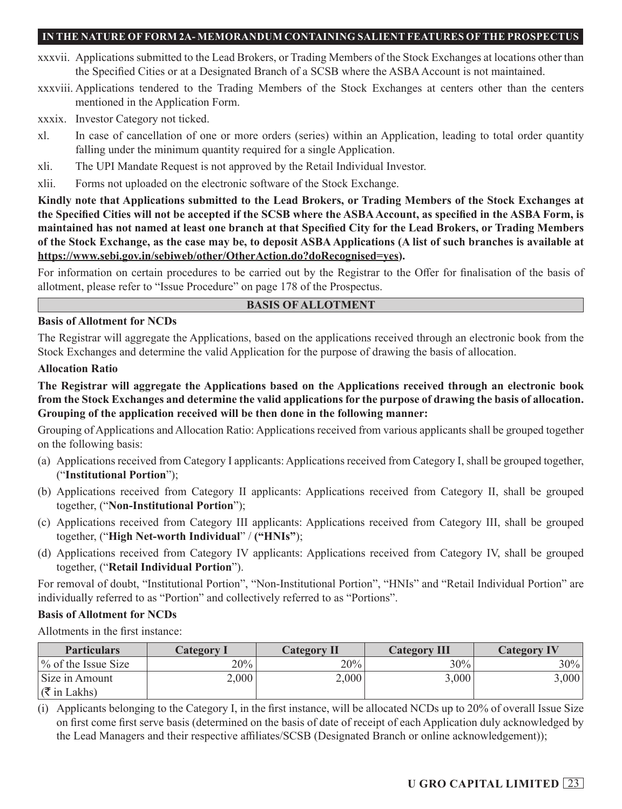- xxxvii. Applications submitted to the Lead Brokers, or Trading Members of the Stock Exchanges at locations other than the Specified Cities or at a Designated Branch of a SCSB where the ASBA Account is not maintained.
- xxxviii. Applications tendered to the Trading Members of the Stock Exchanges at centers other than the centers mentioned in the Application Form.
- xxxix. Investor Category not ticked.
- xl. In case of cancellation of one or more orders (series) within an Application, leading to total order quantity falling under the minimum quantity required for a single Application.
- xli. The UPI Mandate Request is not approved by the Retail Individual Investor.
- xlii. Forms not uploaded on the electronic software of the Stock Exchange.

**Kindly note that Applications submitted to the Lead Brokers, or Trading Members of the Stock Exchanges at the Specified Cities will not be accepted if the SCSB where the ASBA Account, as specified in the ASBA Form, is maintained has not named at least one branch at that Specified City for the Lead Brokers, or Trading Members of the Stock Exchange, as the case may be, to deposit ASBA Applications (A list of such branches is available at https://www.sebi.gov.in/sebiweb/other/OtherAction.do?doRecognised=yes).**

For information on certain procedures to be carried out by the Registrar to the Offer for finalisation of the basis of allotment, please refer to "Issue Procedure" on page 178 of the Prospectus.

### **BASIS OF ALLOTMENT**

### **Basis of Allotment for NCDs**

The Registrar will aggregate the Applications, based on the applications received through an electronic book from the Stock Exchanges and determine the valid Application for the purpose of drawing the basis of allocation.

### **Allocation Ratio**

**The Registrar will aggregate the Applications based on the Applications received through an electronic book from the Stock Exchanges and determine the valid applications for the purpose of drawing the basis of allocation. Grouping of the application received will be then done in the following manner:**

Grouping of Applications and Allocation Ratio: Applications received from various applicants shall be grouped together on the following basis:

- (a) Applications received from Category I applicants: Applications received from Category I, shall be grouped together, ("**Institutional Portion**");
- (b) Applications received from Category II applicants: Applications received from Category II, shall be grouped together, ("**Non-Institutional Portion**");
- (c) Applications received from Category III applicants: Applications received from Category III, shall be grouped together, ("**High Net-worth Individual**" / **("HNIs"**);
- (d) Applications received from Category IV applicants: Applications received from Category IV, shall be grouped together, ("**Retail Individual Portion**").

For removal of doubt, "Institutional Portion", "Non-Institutional Portion", "HNIs" and "Retail Individual Portion" are individually referred to as "Portion" and collectively referred to as "Portions".

### **Basis of Allotment for NCDs**

Allotments in the first instance:

| <b>Particulars</b>              | <b>Category I</b> | <b>Category II</b> | <b>Category III</b> | <b>Category IV</b> |
|---------------------------------|-------------------|--------------------|---------------------|--------------------|
| $\frac{9}{6}$ of the Issue Size | 20%               | 20%                | 30%                 | $30\%$             |
| Size in Amount                  | 2,000             | 2,000              | 3,000               | 3,000              |
| $\sqrt{\xi}$ in Lakhs)          |                   |                    |                     |                    |

(i) Applicants belonging to the Category I, in the first instance, will be allocated NCDs up to 20% of overall Issue Size on first come first serve basis (determined on the basis of date of receipt of each Application duly acknowledged by the Lead Managers and their respective affiliates/SCSB (Designated Branch or online acknowledgement));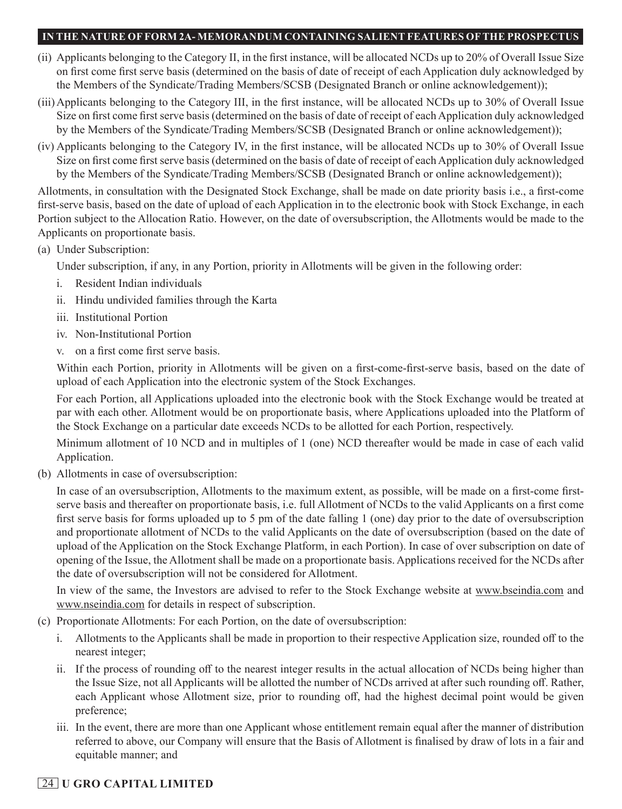- (ii) Applicants belonging to the Category II, in the first instance, will be allocated NCDs up to 20% of Overall Issue Size on first come first serve basis (determined on the basis of date of receipt of each Application duly acknowledged by the Members of the Syndicate/Trading Members/SCSB (Designated Branch or online acknowledgement));
- (iii)Applicants belonging to the Category III, in the first instance, will be allocated NCDs up to 30% of Overall Issue Size on first come first serve basis (determined on the basis of date of receipt of each Application duly acknowledged by the Members of the Syndicate/Trading Members/SCSB (Designated Branch or online acknowledgement));
- (iv) Applicants belonging to the Category IV, in the first instance, will be allocated NCDs up to 30% of Overall Issue Size on first come first serve basis (determined on the basis of date of receipt of each Application duly acknowledged by the Members of the Syndicate/Trading Members/SCSB (Designated Branch or online acknowledgement));

Allotments, in consultation with the Designated Stock Exchange, shall be made on date priority basis i.e., a first-come first-serve basis, based on the date of upload of each Application in to the electronic book with Stock Exchange, in each Portion subject to the Allocation Ratio. However, on the date of oversubscription, the Allotments would be made to the Applicants on proportionate basis.

## (a) Under Subscription:

Under subscription, if any, in any Portion, priority in Allotments will be given in the following order:

- i. Resident Indian individuals
- ii. Hindu undivided families through the Karta
- iii. Institutional Portion
- iv. Non-Institutional Portion
- v. on a first come first serve basis.

Within each Portion, priority in Allotments will be given on a first-come-first-serve basis, based on the date of upload of each Application into the electronic system of the Stock Exchanges.

For each Portion, all Applications uploaded into the electronic book with the Stock Exchange would be treated at par with each other. Allotment would be on proportionate basis, where Applications uploaded into the Platform of the Stock Exchange on a particular date exceeds NCDs to be allotted for each Portion, respectively.

Minimum allotment of 10 NCD and in multiples of 1 (one) NCD thereafter would be made in case of each valid Application.

(b) Allotments in case of oversubscription:

In case of an oversubscription, Allotments to the maximum extent, as possible, will be made on a first-come firstserve basis and thereafter on proportionate basis, i.e. full Allotment of NCDs to the valid Applicants on a first come first serve basis for forms uploaded up to 5 pm of the date falling 1 (one) day prior to the date of oversubscription and proportionate allotment of NCDs to the valid Applicants on the date of oversubscription (based on the date of upload of the Application on the Stock Exchange Platform, in each Portion). In case of over subscription on date of opening of the Issue, the Allotment shall be made on a proportionate basis. Applications received for the NCDs after the date of oversubscription will not be considered for Allotment.

In view of the same, the Investors are advised to refer to the Stock Exchange website at www.bseindia.com and www.nseindia.com for details in respect of subscription.

- (c) Proportionate Allotments: For each Portion, on the date of oversubscription:
	- i. Allotments to the Applicants shall be made in proportion to their respective Application size, rounded off to the nearest integer;
	- ii. If the process of rounding off to the nearest integer results in the actual allocation of NCDs being higher than the Issue Size, not all Applicants will be allotted the number of NCDs arrived at after such rounding off. Rather, each Applicant whose Allotment size, prior to rounding off, had the highest decimal point would be given preference;
	- iii. In the event, there are more than one Applicant whose entitlement remain equal after the manner of distribution referred to above, our Company will ensure that the Basis of Allotment is finalised by draw of lots in a fair and equitable manner; and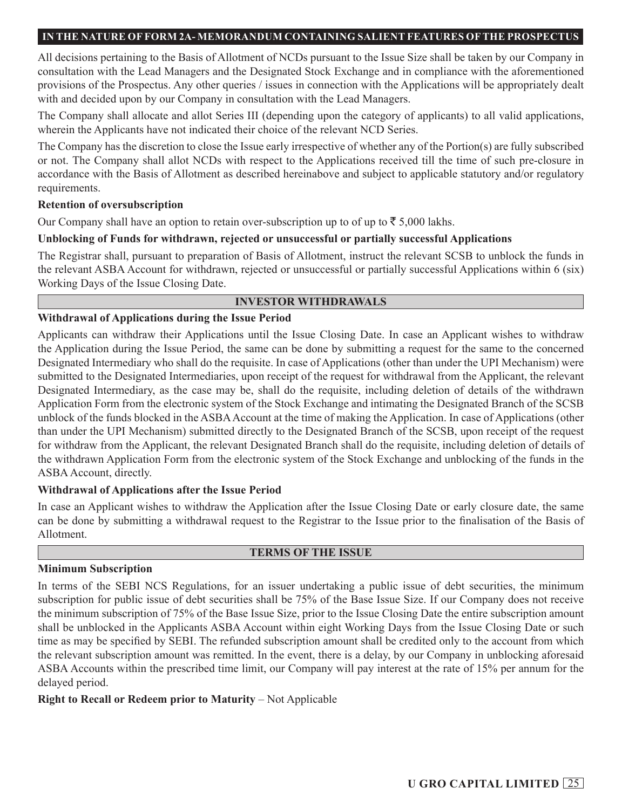All decisions pertaining to the Basis of Allotment of NCDs pursuant to the Issue Size shall be taken by our Company in consultation with the Lead Managers and the Designated Stock Exchange and in compliance with the aforementioned provisions of the Prospectus. Any other queries / issues in connection with the Applications will be appropriately dealt with and decided upon by our Company in consultation with the Lead Managers.

The Company shall allocate and allot Series III (depending upon the category of applicants) to all valid applications, wherein the Applicants have not indicated their choice of the relevant NCD Series.

The Company has the discretion to close the Issue early irrespective of whether any of the Portion(s) are fully subscribed or not. The Company shall allot NCDs with respect to the Applications received till the time of such pre-closure in accordance with the Basis of Allotment as described hereinabove and subject to applicable statutory and/or regulatory requirements.

### **Retention of oversubscription**

Our Company shall have an option to retain over-subscription up to of up to  $\bar{\tau}$  5,000 lakhs.

#### **Unblocking of Funds for withdrawn, rejected or unsuccessful or partially successful Applications**

The Registrar shall, pursuant to preparation of Basis of Allotment, instruct the relevant SCSB to unblock the funds in the relevant ASBA Account for withdrawn, rejected or unsuccessful or partially successful Applications within 6 (six) Working Days of the Issue Closing Date.

#### **INVESTOR WITHDRAWALS**

#### **Withdrawal of Applications during the Issue Period**

Applicants can withdraw their Applications until the Issue Closing Date. In case an Applicant wishes to withdraw the Application during the Issue Period, the same can be done by submitting a request for the same to the concerned Designated Intermediary who shall do the requisite. In case of Applications (other than under the UPI Mechanism) were submitted to the Designated Intermediaries, upon receipt of the request for withdrawal from the Applicant, the relevant Designated Intermediary, as the case may be, shall do the requisite, including deletion of details of the withdrawn Application Form from the electronic system of the Stock Exchange and intimating the Designated Branch of the SCSB unblock of the funds blocked in the ASBA Account at the time of making the Application. In case of Applications (other than under the UPI Mechanism) submitted directly to the Designated Branch of the SCSB, upon receipt of the request for withdraw from the Applicant, the relevant Designated Branch shall do the requisite, including deletion of details of the withdrawn Application Form from the electronic system of the Stock Exchange and unblocking of the funds in the ASBA Account, directly.

### **Withdrawal of Applications after the Issue Period**

In case an Applicant wishes to withdraw the Application after the Issue Closing Date or early closure date, the same can be done by submitting a withdrawal request to the Registrar to the Issue prior to the finalisation of the Basis of Allotment.

#### **TERMS OF THE ISSUE**

### **Minimum Subscription**

In terms of the SEBI NCS Regulations, for an issuer undertaking a public issue of debt securities, the minimum subscription for public issue of debt securities shall be 75% of the Base Issue Size. If our Company does not receive the minimum subscription of 75% of the Base Issue Size, prior to the Issue Closing Date the entire subscription amount shall be unblocked in the Applicants ASBA Account within eight Working Days from the Issue Closing Date or such time as may be specified by SEBI. The refunded subscription amount shall be credited only to the account from which the relevant subscription amount was remitted. In the event, there is a delay, by our Company in unblocking aforesaid ASBA Accounts within the prescribed time limit, our Company will pay interest at the rate of 15% per annum for the delayed period.

### **Right to Recall or Redeem prior to Maturity** – Not Applicable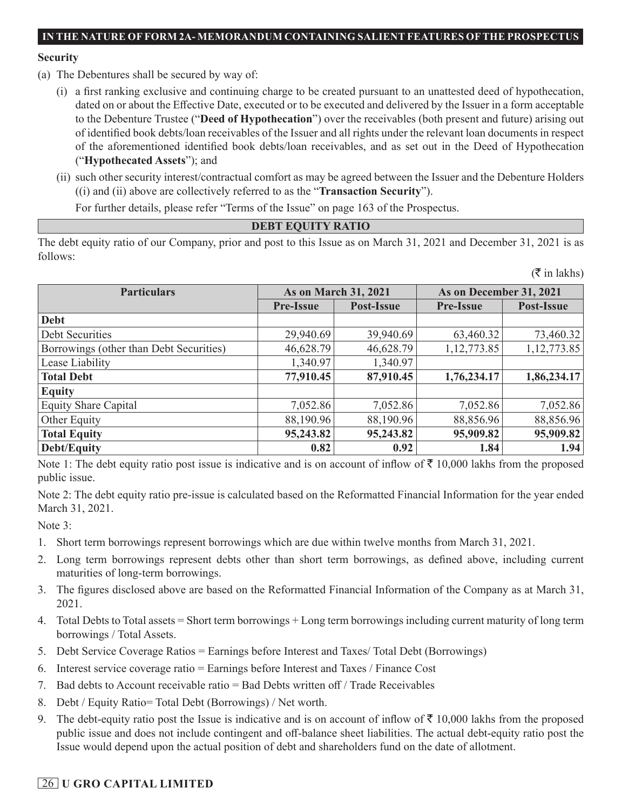#### **Security**

- (a) The Debentures shall be secured by way of:
	- (i) a first ranking exclusive and continuing charge to be created pursuant to an unattested deed of hypothecation, dated on or about the Effective Date, executed or to be executed and delivered by the Issuer in a form acceptable to the Debenture Trustee ("**Deed of Hypothecation**") over the receivables (both present and future) arising out of identified book debts/loan receivables of the Issuer and all rights under the relevant loan documents in respect of the aforementioned identified book debts/loan receivables, and as set out in the Deed of Hypothecation ("**Hypothecated Assets**"); and
	- (ii) such other security interest/contractual comfort as may be agreed between the Issuer and the Debenture Holders ((i) and (ii) above are collectively referred to as the "**Transaction Security**").

For further details, please refer "Terms of the Issue" on page 163 of the Prospectus.

## **DEBT EQUITY RATIO**

The debt equity ratio of our Company, prior and post to this Issue as on March 31, 2021 and December 31, 2021 is as follows:

|                                         |                             |            |                         | $(\bar{\bar{\mathbf{x}}}$ in lakhs) |
|-----------------------------------------|-----------------------------|------------|-------------------------|-------------------------------------|
| <b>Particulars</b>                      | <b>As on March 31, 2021</b> |            | As on December 31, 2021 |                                     |
|                                         | <b>Pre-Issue</b>            | Post-Issue | <b>Pre-Issue</b>        | Post-Issue                          |
| <b>Debt</b>                             |                             |            |                         |                                     |
| Debt Securities                         | 29,940.69                   | 39,940.69  | 63,460.32               | 73,460.32                           |
| Borrowings (other than Debt Securities) | 46,628.79                   | 46,628.79  | 1, 12, 773.85           | 1, 12, 773.85                       |
| Lease Liability                         | 1,340.97                    | 1,340.97   |                         |                                     |
| <b>Total Debt</b>                       | 77,910.45                   | 87,910.45  | 1,76,234.17             | 1,86,234.17                         |
| <b>Equity</b>                           |                             |            |                         |                                     |
| <b>Equity Share Capital</b>             | 7,052.86                    | 7,052.86   | 7,052.86                | 7,052.86                            |
| Other Equity                            | 88,190.96                   | 88,190.96  | 88,856.96               | 88,856.96                           |
| <b>Total Equity</b>                     | 95,243.82                   | 95,243.82  | 95,909.82               | 95,909.82                           |
| <b>Debt/Equity</b>                      | 0.82                        | 0.92       | 1.84                    | 1.94                                |

Note 1: The debt equity ratio post issue is indicative and is on account of inflow of  $\bar{\tau}$  10,000 lakhs from the proposed public issue.

Note 2: The debt equity ratio pre-issue is calculated based on the Reformatted Financial Information for the year ended March 31, 2021.

Note 3:

- 1. Short term borrowings represent borrowings which are due within twelve months from March 31, 2021.
- 2. Long term borrowings represent debts other than short term borrowings, as defined above, including current maturities of long-term borrowings.
- 3. The figures disclosed above are based on the Reformatted Financial Information of the Company as at March 31, 2021.
- 4. Total Debts to Total assets = Short term borrowings + Long term borrowings including current maturity of long term borrowings / Total Assets.
- 5. Debt Service Coverage Ratios = Earnings before Interest and Taxes/ Total Debt (Borrowings)
- 6. Interest service coverage ratio = Earnings before Interest and Taxes / Finance Cost
- 7. Bad debts to Account receivable ratio = Bad Debts written off / Trade Receivables
- 8. Debt / Equity Ratio= Total Debt (Borrowings) / Net worth.
- 9. The debt-equity ratio post the Issue is indicative and is on account of inflow of  $\bar{\tau}$  10,000 lakhs from the proposed public issue and does not include contingent and off-balance sheet liabilities. The actual debt-equity ratio post the Issue would depend upon the actual position of debt and shareholders fund on the date of allotment.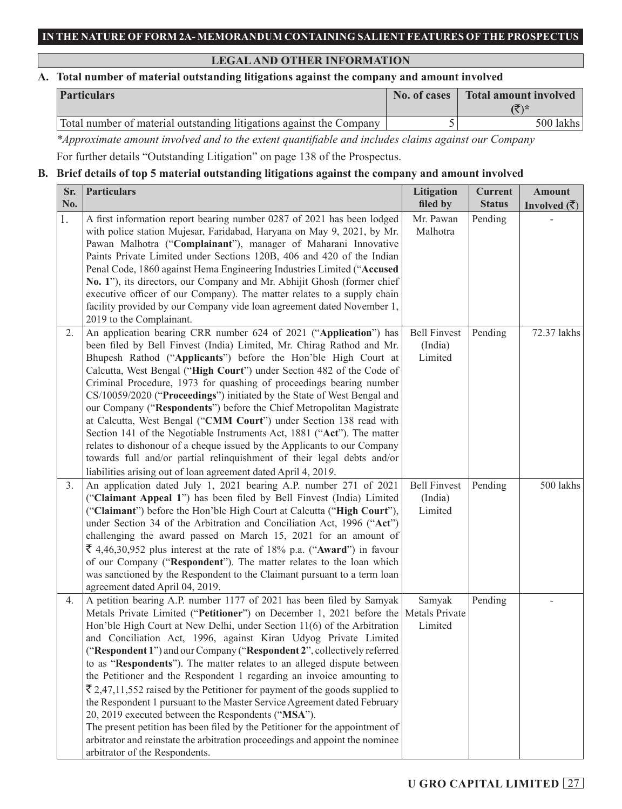## **LEGAL AND OTHER INFORMATION**

## **A. Total number of material outstanding litigations against the company and amount involved**

| <b>Particulars</b>                                                   | No. of cases | Total amount involved<br>チ\* |
|----------------------------------------------------------------------|--------------|------------------------------|
| Total number of material outstanding litigations against the Company |              | 500 lakhs                    |

*\*Approximate amount involved and to the extent quantifiable and includes claims against our Company* For further details "Outstanding Litigation" on page 138 of the Prospectus.

## **B. Brief details of top 5 material outstanding litigations against the company and amount involved**

| Sr. | <b>Particulars</b>                                                                                                                                                         | Litigation          | <b>Current</b> | <b>Amount</b>                        |
|-----|----------------------------------------------------------------------------------------------------------------------------------------------------------------------------|---------------------|----------------|--------------------------------------|
| No. |                                                                                                                                                                            | filed by            | <b>Status</b>  | Involved $(\overline{\mathfrak{F}})$ |
| 1.  | A first information report bearing number 0287 of 2021 has been lodged                                                                                                     | Mr. Pawan           | Pending        |                                      |
|     | with police station Mujesar, Faridabad, Haryana on May 9, 2021, by Mr.                                                                                                     | Malhotra            |                |                                      |
|     | Pawan Malhotra ("Complainant"), manager of Maharani Innovative                                                                                                             |                     |                |                                      |
|     | Paints Private Limited under Sections 120B, 406 and 420 of the Indian                                                                                                      |                     |                |                                      |
|     | Penal Code, 1860 against Hema Engineering Industries Limited ("Accused<br>No. 1"), its directors, our Company and Mr. Abhijit Ghosh (former chief                          |                     |                |                                      |
|     | executive officer of our Company). The matter relates to a supply chain                                                                                                    |                     |                |                                      |
|     | facility provided by our Company vide loan agreement dated November 1,                                                                                                     |                     |                |                                      |
|     | 2019 to the Complainant.                                                                                                                                                   |                     |                |                                      |
| 2.  | An application bearing CRR number 624 of 2021 ("Application") has                                                                                                          | <b>Bell Finvest</b> | Pending        | 72.37 lakhs                          |
|     | been filed by Bell Finvest (India) Limited, Mr. Chirag Rathod and Mr.                                                                                                      | (India)             |                |                                      |
|     | Bhupesh Rathod ("Applicants") before the Hon'ble High Court at                                                                                                             | Limited             |                |                                      |
|     | Calcutta, West Bengal ("High Court") under Section 482 of the Code of                                                                                                      |                     |                |                                      |
|     | Criminal Procedure, 1973 for quashing of proceedings bearing number                                                                                                        |                     |                |                                      |
|     | CS/10059/2020 ("Proceedings") initiated by the State of West Bengal and                                                                                                    |                     |                |                                      |
|     | our Company ("Respondents") before the Chief Metropolitan Magistrate                                                                                                       |                     |                |                                      |
|     | at Calcutta, West Bengal ("CMM Court") under Section 138 read with                                                                                                         |                     |                |                                      |
|     | Section 141 of the Negotiable Instruments Act, 1881 ("Act"). The matter                                                                                                    |                     |                |                                      |
|     | relates to dishonour of a cheque issued by the Applicants to our Company                                                                                                   |                     |                |                                      |
|     | towards full and/or partial relinquishment of their legal debts and/or                                                                                                     |                     |                |                                      |
| 3.  | liabilities arising out of loan agreement dated April 4, 2019.<br>An application dated July 1, 2021 bearing A.P. number 271 of 2021                                        | <b>Bell Finvest</b> | Pending        | 500 lakhs                            |
|     | ("Claimant Appeal 1") has been filed by Bell Finvest (India) Limited                                                                                                       | (India)             |                |                                      |
|     | ("Claimant") before the Hon'ble High Court at Calcutta ("High Court"),                                                                                                     | Limited             |                |                                      |
|     | under Section 34 of the Arbitration and Conciliation Act, 1996 ("Act")                                                                                                     |                     |                |                                      |
|     | challenging the award passed on March 15, 2021 for an amount of                                                                                                            |                     |                |                                      |
|     | $\bar{\xi}$ 4,46,30,952 plus interest at the rate of 18% p.a. ("Award") in favour                                                                                          |                     |                |                                      |
|     | of our Company ("Respondent"). The matter relates to the loan which                                                                                                        |                     |                |                                      |
|     | was sanctioned by the Respondent to the Claimant pursuant to a term loan                                                                                                   |                     |                |                                      |
|     | agreement dated April 04, 2019.                                                                                                                                            |                     |                |                                      |
| 4.  | A petition bearing A.P. number 1177 of 2021 has been filed by Samyak                                                                                                       | Samyak              | Pending        |                                      |
|     | Metals Private Limited ("Petitioner") on December 1, 2021 before the Metals Private                                                                                        |                     |                |                                      |
|     | Hon'ble High Court at New Delhi, under Section 11(6) of the Arbitration                                                                                                    | Limited             |                |                                      |
|     | and Conciliation Act, 1996, against Kiran Udyog Private Limited                                                                                                            |                     |                |                                      |
|     | ("Respondent 1") and our Company ("Respondent 2", collectively referred                                                                                                    |                     |                |                                      |
|     | to as "Respondents"). The matter relates to an alleged dispute between                                                                                                     |                     |                |                                      |
|     | the Petitioner and the Respondent 1 regarding an invoice amounting to                                                                                                      |                     |                |                                      |
|     | $\bar{\mathfrak{F}}$ 2,47,11,552 raised by the Petitioner for payment of the goods supplied to<br>the Respondent 1 pursuant to the Master Service Agreement dated February |                     |                |                                      |
|     | 20, 2019 executed between the Respondents ("MSA").                                                                                                                         |                     |                |                                      |
|     | The present petition has been filed by the Petitioner for the appointment of                                                                                               |                     |                |                                      |
|     | arbitrator and reinstate the arbitration proceedings and appoint the nominee                                                                                               |                     |                |                                      |
|     | arbitrator of the Respondents.                                                                                                                                             |                     |                |                                      |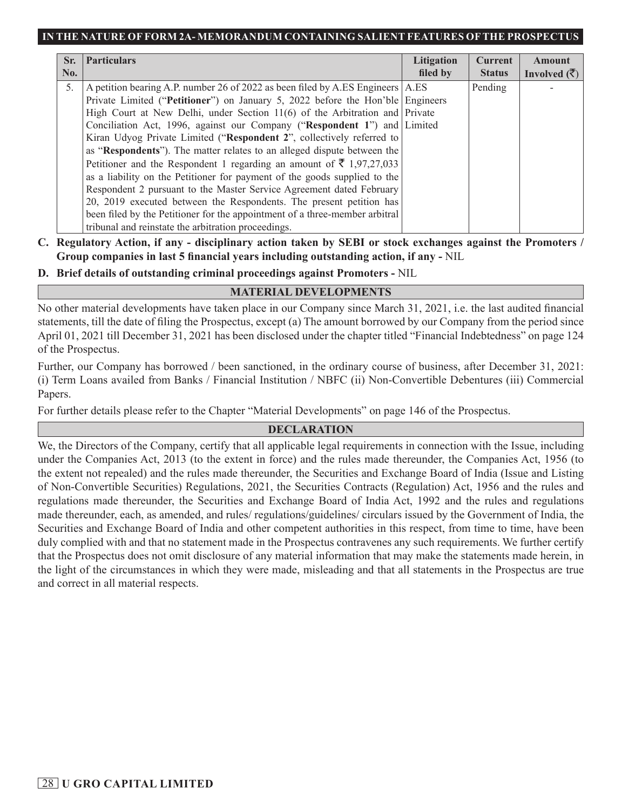| Sr. | <b>Particulars</b>                                                              | Litigation | <b>Current</b> | <b>Amount</b>                 |
|-----|---------------------------------------------------------------------------------|------------|----------------|-------------------------------|
| No. |                                                                                 | filed by   | <b>Status</b>  | Involved $(\overline{\zeta})$ |
| 5.  | A petition bearing A.P. number 26 of 2022 as been filed by A.ES Engineers A.ES  |            | Pending        |                               |
|     | Private Limited ("Petitioner") on January 5, 2022 before the Hon'ble Engineers  |            |                |                               |
|     | High Court at New Delhi, under Section 11(6) of the Arbitration and Private     |            |                |                               |
|     | Conciliation Act, 1996, against our Company ("Respondent 1") and Limited        |            |                |                               |
|     | Kiran Udyog Private Limited ("Respondent 2", collectively referred to           |            |                |                               |
|     | as "Respondents"). The matter relates to an alleged dispute between the         |            |                |                               |
|     | Petitioner and the Respondent 1 regarding an amount of $\bar{\tau}$ 1,97,27,033 |            |                |                               |
|     | as a liability on the Petitioner for payment of the goods supplied to the       |            |                |                               |
|     | Respondent 2 pursuant to the Master Service Agreement dated February            |            |                |                               |
|     | 20, 2019 executed between the Respondents. The present petition has             |            |                |                               |
|     | been filed by the Petitioner for the appointment of a three-member arbitral     |            |                |                               |
|     | tribunal and reinstate the arbitration proceedings.                             |            |                |                               |

**C. Regulatory Action, if any - disciplinary action taken by SEBI or stock exchanges against the Promoters / Group companies in last 5 financial years including outstanding action, if any -** NIL

**D. Brief details of outstanding criminal proceedings against Promoters -** NIL

## **MATERIAL DEVELOPMENTS**

No other material developments have taken place in our Company since March 31, 2021, i.e. the last audited financial statements, till the date of filing the Prospectus, except (a) The amount borrowed by our Company from the period since April 01, 2021 till December 31, 2021 has been disclosed under the chapter titled "Financial Indebtedness" on page 124 of the Prospectus.

Further, our Company has borrowed / been sanctioned, in the ordinary course of business, after December 31, 2021: (i) Term Loans availed from Banks / Financial Institution / NBFC (ii) Non-Convertible Debentures (iii) Commercial Papers.

For further details please refer to the Chapter "Material Developments" on page 146 of the Prospectus.

## **DECLARATION**

We, the Directors of the Company, certify that all applicable legal requirements in connection with the Issue, including under the Companies Act, 2013 (to the extent in force) and the rules made thereunder, the Companies Act, 1956 (to the extent not repealed) and the rules made thereunder, the Securities and Exchange Board of India (Issue and Listing of Non-Convertible Securities) Regulations, 2021, the Securities Contracts (Regulation) Act, 1956 and the rules and regulations made thereunder, the Securities and Exchange Board of India Act, 1992 and the rules and regulations made thereunder, each, as amended, and rules/ regulations/guidelines/ circulars issued by the Government of India, the Securities and Exchange Board of India and other competent authorities in this respect, from time to time, have been duly complied with and that no statement made in the Prospectus contravenes any such requirements. We further certify that the Prospectus does not omit disclosure of any material information that may make the statements made herein, in the light of the circumstances in which they were made, misleading and that all statements in the Prospectus are true and correct in all material respects.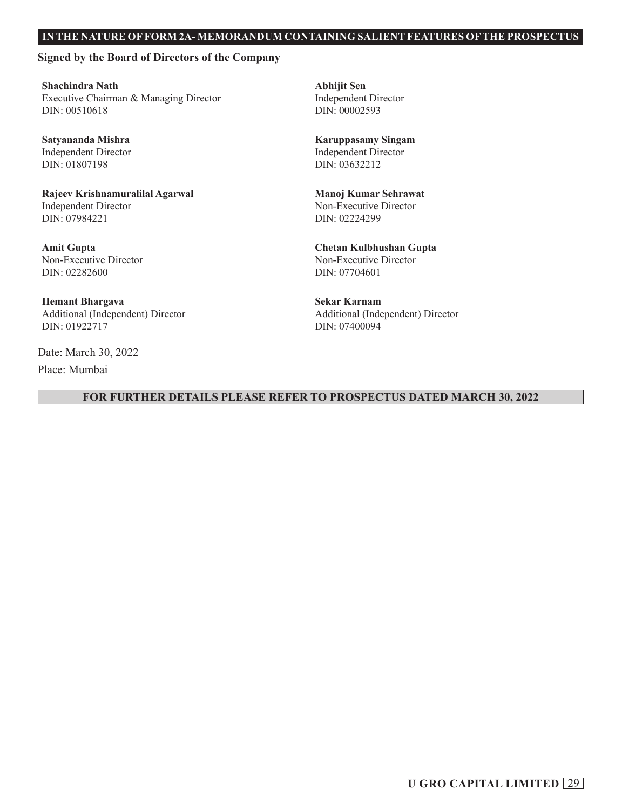#### **Signed by the Board of Directors of the Company**

**Shachindra Nath** Executive Chairman & Managing Director DIN: 00510618

**Satyananda Mishra** Independent Director DIN: 01807198

**Rajeev Krishnamuralilal Agarwal** Independent Director DIN: 07984221

**Amit Gupta** Non-Executive Director DIN: 02282600

**Hemant Bhargava** Additional (Independent) Director DIN: 01922717

Date: March 30, 2022 Place: Mumbai

**Abhijit Sen** Independent Director DIN: 00002593

**Karuppasamy Singam** Independent Director DIN: 03632212

**Manoj Kumar Sehrawat** Non-Executive Director DIN: 02224299

**Chetan Kulbhushan Gupta** Non-Executive Director DIN: 07704601

**Sekar Karnam** Additional (Independent) Director DIN: 07400094

#### **FOR FURTHER DETAILS PLEASE REFER TO PROSPECTUS DATED MARCH 30, 2022**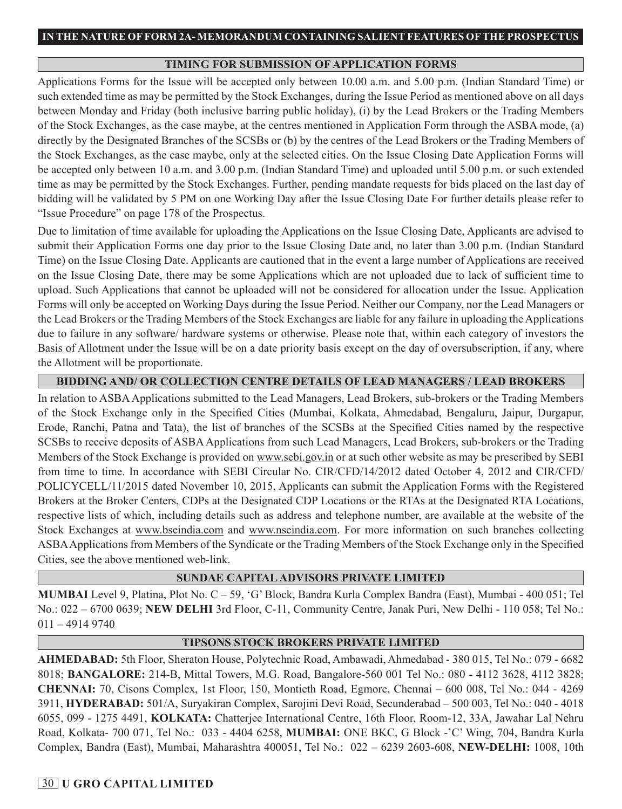### **TIMING FOR SUBMISSION OF APPLICATION FORMS**

Applications Forms for the Issue will be accepted only between 10.00 a.m. and 5.00 p.m. (Indian Standard Time) or such extended time as may be permitted by the Stock Exchanges, during the Issue Period as mentioned above on all days between Monday and Friday (both inclusive barring public holiday), (i) by the Lead Brokers or the Trading Members of the Stock Exchanges, as the case maybe, at the centres mentioned in Application Form through the ASBA mode, (a) directly by the Designated Branches of the SCSBs or (b) by the centres of the Lead Brokers or the Trading Members of the Stock Exchanges, as the case maybe, only at the selected cities. On the Issue Closing Date Application Forms will be accepted only between 10 a.m. and 3.00 p.m. (Indian Standard Time) and uploaded until 5.00 p.m. or such extended time as may be permitted by the Stock Exchanges. Further, pending mandate requests for bids placed on the last day of bidding will be validated by 5 PM on one Working Day after the Issue Closing Date For further details please refer to "Issue Procedure" on page 178 of the Prospectus.

Due to limitation of time available for uploading the Applications on the Issue Closing Date, Applicants are advised to submit their Application Forms one day prior to the Issue Closing Date and, no later than 3.00 p.m. (Indian Standard Time) on the Issue Closing Date. Applicants are cautioned that in the event a large number of Applications are received on the Issue Closing Date, there may be some Applications which are not uploaded due to lack of sufficient time to upload. Such Applications that cannot be uploaded will not be considered for allocation under the Issue. Application Forms will only be accepted on Working Days during the Issue Period. Neither our Company, nor the Lead Managers or the Lead Brokers or the Trading Members of the Stock Exchanges are liable for any failure in uploading the Applications due to failure in any software/ hardware systems or otherwise. Please note that, within each category of investors the Basis of Allotment under the Issue will be on a date priority basis except on the day of oversubscription, if any, where the Allotment will be proportionate.

## **BIDDING AND/ OR COLLECTION CENTRE DETAILS OF LEAD MANAGERS / LEAD BROKERS**

In relation to ASBA Applications submitted to the Lead Managers, Lead Brokers, sub-brokers or the Trading Members of the Stock Exchange only in the Specified Cities (Mumbai, Kolkata, Ahmedabad, Bengaluru, Jaipur, Durgapur, Erode, Ranchi, Patna and Tata), the list of branches of the SCSBs at the Specified Cities named by the respective SCSBs to receive deposits of ASBA Applications from such Lead Managers, Lead Brokers, sub-brokers or the Trading Members of the Stock Exchange is provided on www.sebi.gov.in or at such other website as may be prescribed by SEBI from time to time. In accordance with SEBI Circular No. CIR/CFD/14/2012 dated October 4, 2012 and CIR/CFD/ POLICYCELL/11/2015 dated November 10, 2015, Applicants can submit the Application Forms with the Registered Brokers at the Broker Centers, CDPs at the Designated CDP Locations or the RTAs at the Designated RTA Locations, respective lists of which, including details such as address and telephone number, are available at the website of the Stock Exchanges at www.bseindia.com and www.nseindia.com. For more information on such branches collecting ASBA Applications from Members of the Syndicate or the Trading Members of the Stock Exchange only in the Specified Cities, see the above mentioned web-link.

#### **SUNDAE CAPITAL ADVISORS PRIVATE LIMITED**

**MUMBAI** Level 9, Platina, Plot No. C – 59, 'G' Block, Bandra Kurla Complex Bandra (East), Mumbai - 400 051; Tel No.: 022 – 6700 0639; **NEW DELHI** 3rd Floor, C-11, Community Centre, Janak Puri, New Delhi - 110 058; Tel No.: 011 – 4914 9740

#### **TIPSONS STOCK BROKERS PRIVATE LIMITED**

**AHMEDABAD:** 5th Floor, Sheraton House, Polytechnic Road, Ambawadi, Ahmedabad - 380 015, Tel No.: 079 - 6682 8018; **BANGALORE:** 214-B, Mittal Towers, M.G. Road, Bangalore-560 001 Tel No.: 080 - 4112 3628, 4112 3828; **CHENNAI:** 70, Cisons Complex, 1st Floor, 150, Montieth Road, Egmore, Chennai – 600 008, Tel No.: 044 - 4269 3911, **HYDERABAD:** 501/A, Suryakiran Complex, Sarojini Devi Road, Secunderabad – 500 003, Tel No.: 040 - 4018 6055, 099 - 1275 4491, **KOLKATA:** Chatterjee International Centre, 16th Floor, Room-12, 33A, Jawahar Lal Nehru Road, Kolkata- 700 071, Tel No.: 033 - 4404 6258, **MUMBAI:** ONE BKC, G Block -'C' Wing, 704, Bandra Kurla Complex, Bandra (East), Mumbai, Maharashtra 400051, Tel No.: 022 – 6239 2603-608, **NEW-DELHI:** 1008, 10th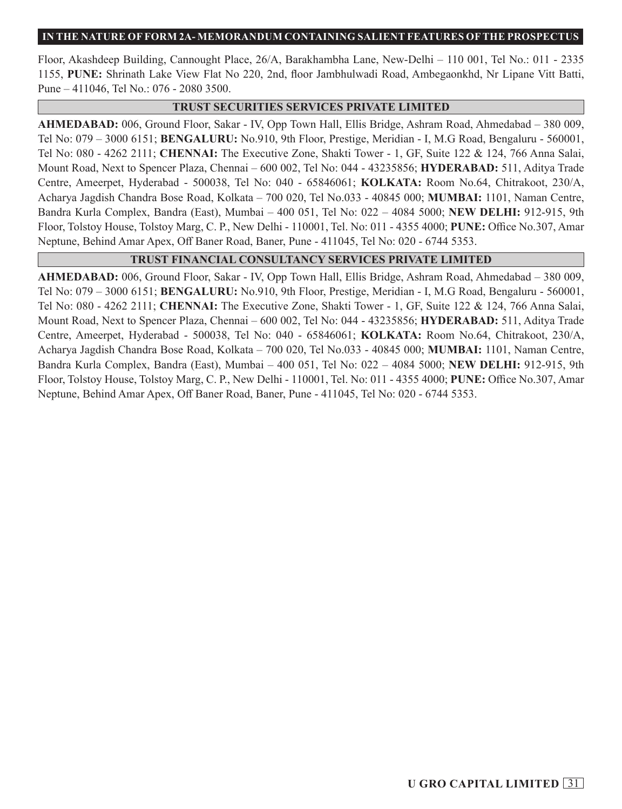Floor, Akashdeep Building, Cannought Place, 26/A, Barakhambha Lane, New-Delhi – 110 001, Tel No.: 011 - 2335 1155, **PUNE:** Shrinath Lake View Flat No 220, 2nd, floor Jambhulwadi Road, Ambegaonkhd, Nr Lipane Vitt Batti, Pune – 411046, Tel No.: 076 - 2080 3500.

#### **TRUST SECURITIES SERVICES PRIVATE LIMITED**

**AHMEDABAD:** 006, Ground Floor, Sakar - IV, Opp Town Hall, Ellis Bridge, Ashram Road, Ahmedabad – 380 009, Tel No: 079 – 3000 6151; **BENGALURU:** No.910, 9th Floor, Prestige, Meridian - I, M.G Road, Bengaluru - 560001, Tel No: 080 - 4262 2111; **CHENNAI:** The Executive Zone, Shakti Tower - 1, GF, Suite 122 & 124, 766 Anna Salai, Mount Road, Next to Spencer Plaza, Chennai – 600 002, Tel No: 044 - 43235856; **HYDERABAD:** 511, Aditya Trade Centre, Ameerpet, Hyderabad - 500038, Tel No: 040 - 65846061; **KOLKATA:** Room No.64, Chitrakoot, 230/A, Acharya Jagdish Chandra Bose Road, Kolkata – 700 020, Tel No.033 - 40845 000; **MUMBAI:** 1101, Naman Centre, Bandra Kurla Complex, Bandra (East), Mumbai – 400 051, Tel No: 022 – 4084 5000; **NEW DELHI:** 912-915, 9th Floor, Tolstoy House, Tolstoy Marg, C. P., New Delhi - 110001, Tel. No: 011 - 4355 4000; **PUNE:** Office No.307, Amar Neptune, Behind Amar Apex, Off Baner Road, Baner, Pune - 411045, Tel No: 020 - 6744 5353.

## **TRUST FINANCIAL CONSULTANCY SERVICES PRIVATE LIMITED**

**AHMEDABAD:** 006, Ground Floor, Sakar - IV, Opp Town Hall, Ellis Bridge, Ashram Road, Ahmedabad – 380 009, Tel No: 079 – 3000 6151; **BENGALURU:** No.910, 9th Floor, Prestige, Meridian - I, M.G Road, Bengaluru - 560001, Tel No: 080 - 4262 2111; **CHENNAI:** The Executive Zone, Shakti Tower - 1, GF, Suite 122 & 124, 766 Anna Salai, Mount Road, Next to Spencer Plaza, Chennai – 600 002, Tel No: 044 - 43235856; **HYDERABAD:** 511, Aditya Trade Centre, Ameerpet, Hyderabad - 500038, Tel No: 040 - 65846061; **KOLKATA:** Room No.64, Chitrakoot, 230/A, Acharya Jagdish Chandra Bose Road, Kolkata – 700 020, Tel No.033 - 40845 000; **MUMBAI:** 1101, Naman Centre, Bandra Kurla Complex, Bandra (East), Mumbai – 400 051, Tel No: 022 – 4084 5000; **NEW DELHI:** 912-915, 9th Floor, Tolstoy House, Tolstoy Marg, C. P., New Delhi - 110001, Tel. No: 011 - 4355 4000; **PUNE:** Office No.307, Amar Neptune, Behind Amar Apex, Off Baner Road, Baner, Pune - 411045, Tel No: 020 - 6744 5353.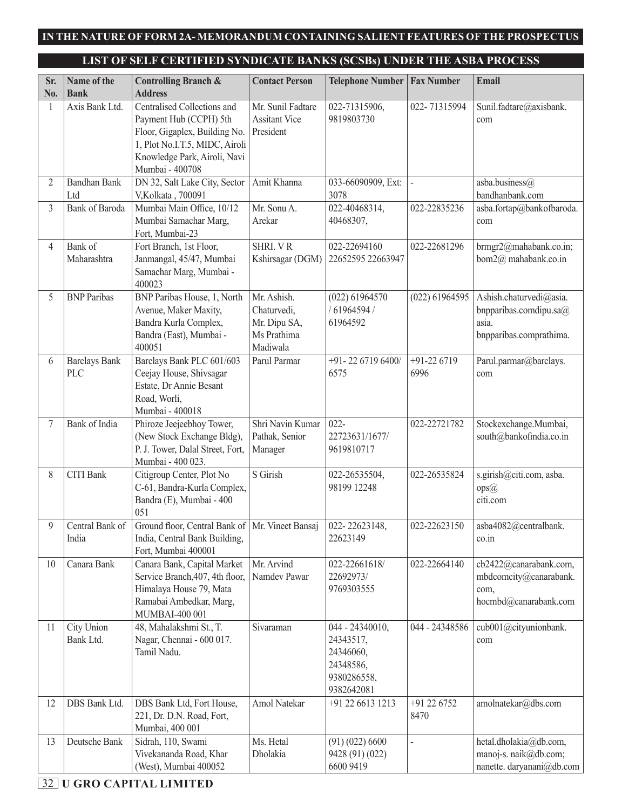# **LIST OF SELF CERTIFIED SYNDICATE BANKS (SCSBs) UNDER THE ASBA PROCESS**

| Sr.<br>No. | Name of the<br><b>Bank</b>  | <b>Controlling Branch &amp;</b><br><b>Address</b>                                                                                                                           | <b>Contact Person</b>                                                 | <b>Telephone Number</b>                                                             | <b>Fax Number</b>     | Email                                                                                 |
|------------|-----------------------------|-----------------------------------------------------------------------------------------------------------------------------------------------------------------------------|-----------------------------------------------------------------------|-------------------------------------------------------------------------------------|-----------------------|---------------------------------------------------------------------------------------|
| 1          | Axis Bank Ltd.              | Centralised Collections and<br>Payment Hub (CCPH) 5th<br>Floor, Gigaplex, Building No.<br>1, Plot No.I.T.5, MIDC, Airoli<br>Knowledge Park, Airoli, Navi<br>Mumbai - 400708 | Mr. Sunil Fadtare<br><b>Assitant Vice</b><br>President                | 022-71315906,<br>9819803730                                                         | 022-71315994          | Sunil.fadtare@axisbank.<br>com                                                        |
| 2          | <b>Bandhan Bank</b><br>Ltd  | DN 32, Salt Lake City, Sector<br>V, Kolkata, 700091                                                                                                                         | Amit Khanna                                                           | 033-66090909, Ext:<br>3078                                                          |                       | asba.business@<br>bandhanbank.com                                                     |
| 3          | <b>Bank</b> of Baroda       | Mumbai Main Office, 10/12<br>Mumbai Samachar Marg,<br>Fort, Mumbai-23                                                                                                       | Mr. Sonu A.<br>Arekar                                                 | 022-40468314,<br>40468307,                                                          | 022-22835236          | asba.fortap@bankofbaroda.<br>com                                                      |
| 4          | Bank of<br>Maharashtra      | Fort Branch, 1st Floor,<br>Janmangal, 45/47, Mumbai<br>Samachar Marg, Mumbai -<br>400023                                                                                    | SHRI. VR<br>Kshirsagar (DGM)                                          | 022-22694160<br>22652595 22663947                                                   | 022-22681296          | brmgr2@mahabank.co.in;<br>bom2@ mahabank.co.in                                        |
| 5          | <b>BNP</b> Paribas          | BNP Paribas House, 1, North<br>Avenue, Maker Maxity,<br>Bandra Kurla Complex,<br>Bandra (East), Mumbai -<br>400051                                                          | Mr. Ashish.<br>Chaturvedi,<br>Mr. Dipu SA,<br>Ms Prathima<br>Madiwala | $(022)$ 61964570<br>/61964594/<br>61964592                                          | $(022)$ 61964595      | Ashish.chaturvedi@asia.<br>bnpparibas.comdipu.sa@<br>asia.<br>bnpparibas.comprathima. |
| 6          | <b>Barclays Bank</b><br>PLC | Barclays Bank PLC 601/603<br>Ceejay House, Shivsagar<br>Estate, Dr Annie Besant<br>Road, Worli,<br>Mumbai - 400018                                                          | Parul Parmar                                                          | +91-22 6719 6400/<br>6575                                                           | $+91-226719$<br>6996  | Parul.parmar@barclays.<br>com                                                         |
| 7          | Bank of India               | Phiroze Jeejeebhoy Tower,<br>(New Stock Exchange Bldg),<br>P. J. Tower, Dalal Street, Fort,<br>Mumbai - 400 023.                                                            | Shri Navin Kumar<br>Pathak, Senior<br>Manager                         | $022 -$<br>22723631/1677/<br>9619810717                                             | 022-22721782          | Stockexchange.Mumbai,<br>south@bankofindia.co.in                                      |
| 8          | <b>CITI Bank</b>            | Citigroup Center, Plot No<br>C-61, Bandra-Kurla Complex,<br>Bandra (E), Mumbai - 400<br>051                                                                                 | S Girish                                                              | 022-26535504,<br>98199 12248                                                        | 022-26535824          | s.girish@citi.com, asba.<br>ops@<br>citi.com                                          |
| 9          | Central Bank of<br>India    | Ground floor, Central Bank of   Mr. Vineet Bansaj<br>India, Central Bank Building,<br>Fort, Mumbai 400001                                                                   |                                                                       | 022-22623148,<br>22623149                                                           | 022-22623150          | asba4082@centralbank.<br>$\overline{\text{co.in}}$                                    |
| 10         | Canara Bank                 | Canara Bank, Capital Market<br>Service Branch, 407, 4th floor,<br>Himalaya House 79, Mata<br>Ramabai Ambedkar, Marg,<br>MUMBAI-400 001                                      | Mr. Arvind<br>Namdev Pawar                                            | 022-22661618/<br>22692973/<br>9769303555                                            | 022-22664140          | cb2422@canarabank.com,<br>mbdcomcity@canarabank.<br>com,<br>hocmbd@canarabank.com     |
| 11         | City Union<br>Bank Ltd.     | 48, Mahalakshmi St., T.<br>Nagar, Chennai - 600 017.<br>Tamil Nadu.                                                                                                         | Sivaraman                                                             | 044 - 24340010,<br>24343517,<br>24346060,<br>24348586,<br>9380286558,<br>9382642081 | 044 - 24348586        | cub001@cityunionbank.<br>com                                                          |
| 12         | DBS Bank Ltd.               | DBS Bank Ltd, Fort House,<br>221, Dr. D.N. Road, Fort,<br>Mumbai, 400 001                                                                                                   | Amol Natekar                                                          | +91 22 6613 1213                                                                    | $+91$ 22 6752<br>8470 | amolnatekar@dbs.com                                                                   |
| 13         | Deutsche Bank               | Sidrah, 110, Swami<br>Vivekananda Road, Khar<br>(West), Mumbai 400052                                                                                                       | Ms. Hetal<br>Dholakia                                                 | (91)(022)6600<br>9428 (91) (022)<br>6600 9419                                       |                       | hetal.dholakia@db.com,<br>manoj-s. naik@db.com;<br>nanette. daryanani@db.com          |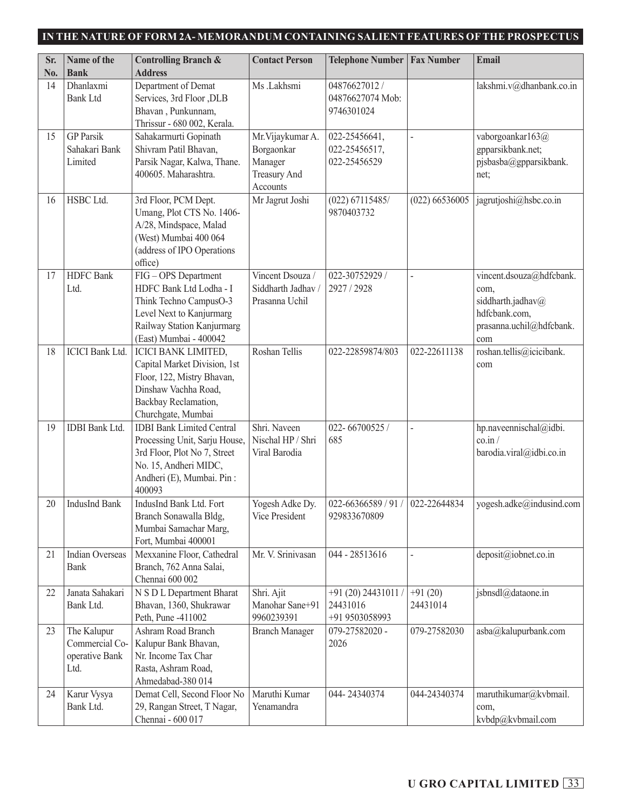| Sr. | Name of the                                             | <b>Controlling Branch &amp;</b>                                                                                                                                   | <b>Contact Person</b>                                                         | <b>Telephone Number</b>                           | <b>Fax Number</b>     | Email                                                                                                     |
|-----|---------------------------------------------------------|-------------------------------------------------------------------------------------------------------------------------------------------------------------------|-------------------------------------------------------------------------------|---------------------------------------------------|-----------------------|-----------------------------------------------------------------------------------------------------------|
| No. | <b>Bank</b>                                             | <b>Address</b>                                                                                                                                                    |                                                                               |                                                   |                       |                                                                                                           |
| 14  | Dhanlaxmi<br><b>Bank Ltd</b>                            | Department of Demat<br>Services, 3rd Floor, DLB<br>Bhavan, Punkunnam,<br>Thrissur - 680 002, Kerala.                                                              | Ms .Lakhsmi                                                                   | 04876627012 /<br>04876627074 Mob:<br>9746301024   |                       | lakshmi.v@dhanbank.co.in                                                                                  |
| 15  | <b>GP</b> Parsik<br>Sahakari Bank<br>Limited            | Sahakarmurti Gopinath<br>Shivram Patil Bhavan,<br>Parsik Nagar, Kalwa, Thane.<br>400605. Maharashtra.                                                             | Mr. Vijaykumar A.<br>Borgaonkar<br>Manager<br><b>Treasury And</b><br>Accounts | 022-25456641,<br>022-25456517,<br>022-25456529    | $\overline{a}$        | vaborgoankar163@<br>gpparsikbank.net;<br>pjsbasba@gpparsikbank.<br>net:                                   |
| 16  | HSBC Ltd.                                               | 3rd Floor, PCM Dept.<br>Umang, Plot CTS No. 1406-<br>A/28, Mindspace, Malad<br>(West) Mumbai 400 064<br>(address of IPO Operations<br>office)                     | Mr Jagrut Joshi                                                               | $(022)$ 67115485/<br>9870403732                   | $(022)$ 66536005      | jagrutjoshi@hsbc.co.in                                                                                    |
| 17  | <b>HDFC</b> Bank<br>Ltd.                                | FIG-OPS Department<br>HDFC Bank Ltd Lodha - I<br>Think Techno CampusO-3<br>Level Next to Kanjurmarg<br>Railway Station Kanjurmarg<br>(East) Mumbai - 400042       | Vincent Dsouza /<br>Siddharth Jadhav /<br>Prasanna Uchil                      | 022-30752929 /<br>2927 / 2928                     | $\overline{a}$        | vincent.dsouza@hdfcbank.<br>com,<br>siddharth.jadhav@<br>hdfcbank.com,<br>prasanna.uchil@hdfcbank.<br>com |
| 18  | <b>ICICI</b> Bank Ltd.                                  | <b>ICICI BANK LIMITED,</b><br>Capital Market Division, 1st<br>Floor, 122, Mistry Bhavan,<br>Dinshaw Vachha Road,<br>Backbay Reclamation,<br>Churchgate, Mumbai    | Roshan Tellis                                                                 | 022-22859874/803                                  | 022-22611138          | roshan.tellis@icicibank.<br>com                                                                           |
| 19  | <b>IDBI</b> Bank Ltd.                                   | <b>IDBI</b> Bank Limited Central<br>Processing Unit, Sarju House,<br>3rd Floor, Plot No 7, Street<br>No. 15, Andheri MIDC,<br>Andheri (E), Mumbai. Pin:<br>400093 | Shri. Naveen<br>Nischal HP / Shri<br>Viral Barodia                            | 022-66700525/<br>685                              |                       | hp.naveennischal@idbi.<br>$\sin$ /<br>barodia.viral@idbi.co.in                                            |
| 20  | <b>IndusInd Bank</b>                                    | IndusInd Bank Ltd. Fort<br>Branch Sonawalla Bldg,<br>Mumbai Samachar Marg,<br>Fort, Mumbai 400001                                                                 | Yogesh Adke Dy.<br>Vice President                                             | 022-66366589 / 91 /<br>929833670809               | 022-22644834          | yogesh.adke@indusind.com                                                                                  |
| 21  | Indian Overseas<br>Bank                                 | Mexxanine Floor, Cathedral<br>Branch, 762 Anna Salai,<br>Chennai 600 002                                                                                          | Mr. V. Srinivasan                                                             | 044 - 28513616                                    |                       | deposit@iobnet.co.in                                                                                      |
| 22  | Janata Sahakari<br>Bank Ltd.                            | N S D L Department Bharat<br>Bhavan, 1360, Shukrawar<br>Peth, Pune -411002                                                                                        | Shri. Ajit<br>Manohar Sane+91<br>9960239391                                   | +91 (20) 24431011 /<br>24431016<br>+91 9503058993 | $+91(20)$<br>24431014 | jsbnsdl@dataone.in                                                                                        |
| 23  | The Kalupur<br>Commercial Co-<br>operative Bank<br>Ltd. | Ashram Road Branch<br>Kalupur Bank Bhavan,<br>Nr. Income Tax Char<br>Rasta, Ashram Road,<br>Ahmedabad-380 014                                                     | <b>Branch Manager</b>                                                         | 079-27582020 -<br>2026                            | 079-27582030          | asba@kalupurbank.com                                                                                      |
| 24  | Karur Vysya<br>Bank Ltd.                                | Demat Cell, Second Floor No<br>29, Rangan Street, T Nagar,<br>Chennai - 600 017                                                                                   | Maruthi Kumar<br>Yenamandra                                                   | 044-24340374                                      | 044-24340374          | maruthikumar@kvbmail.<br>com,<br>kvbdp@kvbmail.com                                                        |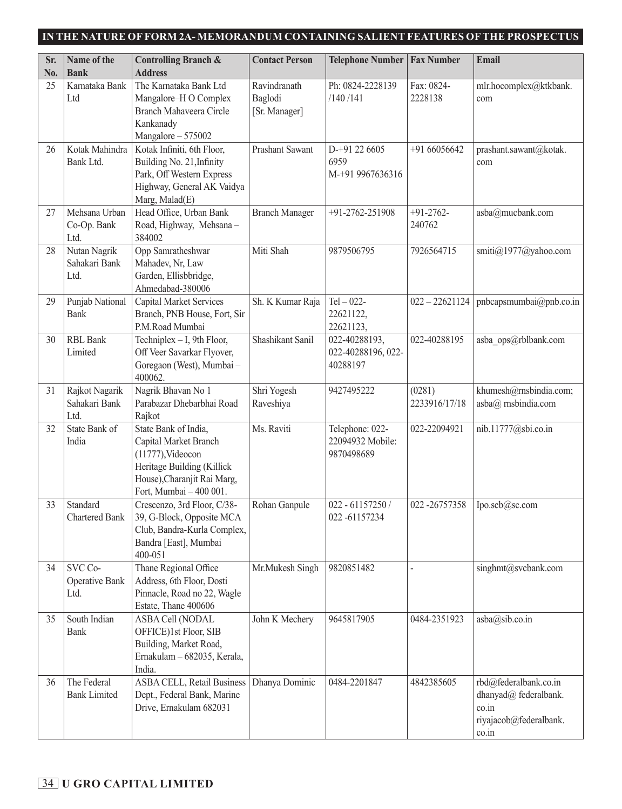| Sr.<br>No. | Name of the<br><b>Bank</b>              | <b>Controlling Branch &amp;</b><br><b>Address</b>                                                                                                             | <b>Contact Person</b>                    | <b>Telephone Number</b>                           | <b>Fax Number</b>       | <b>Email</b>                                                                               |
|------------|-----------------------------------------|---------------------------------------------------------------------------------------------------------------------------------------------------------------|------------------------------------------|---------------------------------------------------|-------------------------|--------------------------------------------------------------------------------------------|
| 25         | Karnataka Bank<br>Ltd                   | The Karnataka Bank Ltd<br>Mangalore-H O Complex<br>Branch Mahaveera Circle<br>Kankanady<br>Mangalore - 575002                                                 | Ravindranath<br>Baglodi<br>[Sr. Manager] | Ph: 0824-2228139<br>/140/141                      | Fax: 0824-<br>2228138   | mlr.hocomplex@ktkbank.<br>com                                                              |
| 26         | Kotak Mahindra<br>Bank Ltd.             | Kotak Infiniti, 6th Floor,<br>Building No. 21, Infinity<br>Park, Off Western Express<br>Highway, General AK Vaidya<br>Marg, Malad(E)                          | Prashant Sawant                          | D-+91 22 6605<br>6959<br>M-+91 9967636316         | +91 66056642            | prashant.sawant@kotak.<br>com                                                              |
| 27         | Mehsana Urban<br>Co-Op. Bank<br>Ltd.    | Head Office, Urban Bank<br>Road, Highway, Mehsana-<br>384002                                                                                                  | <b>Branch Manager</b>                    | +91-2762-251908                                   | $+91-2762-$<br>240762   | asba@mucbank.com                                                                           |
| 28         | Nutan Nagrik<br>Sahakari Bank<br>Ltd.   | Opp Samratheshwar<br>Mahadev, Nr, Law<br>Garden, Ellisbbridge,<br>Ahmedabad-380006                                                                            | Miti Shah                                | 9879506795                                        | 7926564715              | smiti@1977@yahoo.com                                                                       |
| 29         | Punjab National<br>Bank                 | Capital Market Services<br>Branch, PNB House, Fort, Sir<br>P.M.Road Mumbai                                                                                    | Sh. K Kumar Raja                         | $Tel - 022 -$<br>22621122,<br>22621123,           | $022 - 22621124$        | $\mathbf{p}$ nbcapsmumbai $\mathbf{q}$ pnb.co.in                                           |
| 30         | <b>RBL Bank</b><br>Limited              | Techniplex $-$ I, 9th Floor,<br>Off Veer Savarkar Flyover,<br>Goregaon (West), Mumbai -<br>400062.                                                            | Shashikant Sanil                         | 022-40288193,<br>022-40288196, 022-<br>40288197   | 022-40288195            | asba ops@rblbank.com                                                                       |
| 31         | Rajkot Nagarik<br>Sahakari Bank<br>Ltd. | Nagrik Bhavan No 1<br>Parabazar Dhebarbhai Road<br>Rajkot                                                                                                     | Shri Yogesh<br>Raveshiya                 | 9427495222                                        | (0281)<br>2233916/17/18 | khumesh@rnsbindia.com;<br>asba@ rnsbindia.com                                              |
| 32         | State Bank of<br>India                  | State Bank of India,<br>Capital Market Branch<br>$(11777)$ , Videocon<br>Heritage Building (Killick<br>House), Charanjit Rai Marg,<br>Fort, Mumbai - 400 001. | Ms. Raviti                               | Telephone: 022-<br>22094932 Mobile:<br>9870498689 | 022-22094921            | nib.11777@sbi.co.in                                                                        |
| 33         | Standard<br>Chartered Bank              | Crescenzo, 3rd Floor, C/38-<br>39, G-Block, Opposite MCA<br>Club, Bandra-Kurla Complex,<br>Bandra [East], Mumbai<br>400-051                                   | Rohan Ganpule                            | $022 - 61157250/$<br>022-61157234                 | 022-26757358            | Ipo.scb@sc.com                                                                             |
| 34         | SVC Co-<br>Operative Bank<br>Ltd.       | Thane Regional Office<br>Address, 6th Floor, Dosti<br>Pinnacle, Road no 22, Wagle<br>Estate, Thane 400606                                                     | Mr.Mukesh Singh                          | 9820851482                                        |                         | singhmt@svcbank.com                                                                        |
| 35         | South Indian<br>Bank                    | ASBA Cell (NODAL<br>OFFICE)1st Floor, SIB<br>Building, Market Road,<br>Ernakulam - 682035, Kerala,<br>India.                                                  | John K Mechery                           | 9645817905                                        | 0484-2351923            | asba@sib.co.in                                                                             |
| 36         | The Federal<br><b>Bank Limited</b>      | <b>ASBA CELL, Retail Business</b><br>Dept., Federal Bank, Marine<br>Drive, Ernakulam 682031                                                                   | Dhanya Dominic                           | 0484-2201847                                      | 4842385605              | rbd@federalbank.co.in<br>dhanyad@ federalbank.<br>co.in<br>riyajacob@federalbank.<br>co.in |